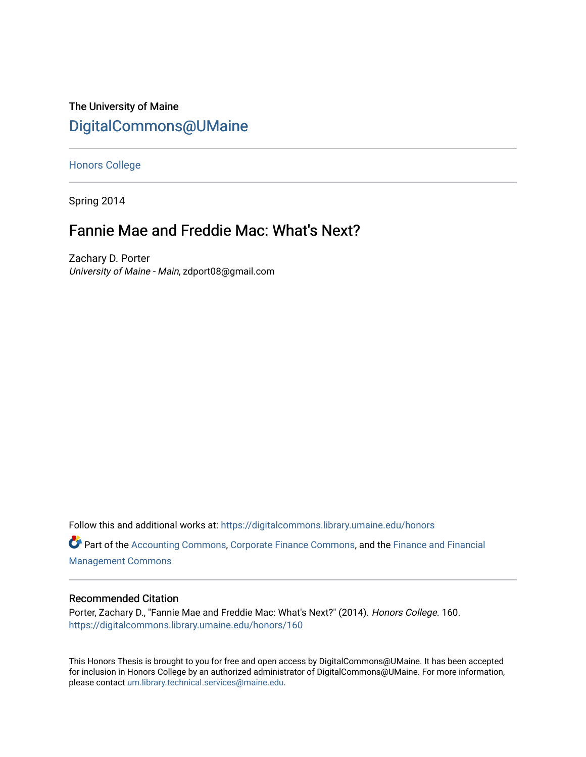# The University of Maine [DigitalCommons@UMaine](https://digitalcommons.library.umaine.edu/)

[Honors College](https://digitalcommons.library.umaine.edu/honors)

Spring 2014

# Fannie Mae and Freddie Mac: What's Next?

Zachary D. Porter University of Maine - Main, zdport08@gmail.com

Follow this and additional works at: [https://digitalcommons.library.umaine.edu/honors](https://digitalcommons.library.umaine.edu/honors?utm_source=digitalcommons.library.umaine.edu%2Fhonors%2F160&utm_medium=PDF&utm_campaign=PDFCoverPages) 

Part of the [Accounting Commons](http://network.bepress.com/hgg/discipline/625?utm_source=digitalcommons.library.umaine.edu%2Fhonors%2F160&utm_medium=PDF&utm_campaign=PDFCoverPages), [Corporate Finance Commons,](http://network.bepress.com/hgg/discipline/629?utm_source=digitalcommons.library.umaine.edu%2Fhonors%2F160&utm_medium=PDF&utm_campaign=PDFCoverPages) and the [Finance and Financial](http://network.bepress.com/hgg/discipline/631?utm_source=digitalcommons.library.umaine.edu%2Fhonors%2F160&utm_medium=PDF&utm_campaign=PDFCoverPages) [Management Commons](http://network.bepress.com/hgg/discipline/631?utm_source=digitalcommons.library.umaine.edu%2Fhonors%2F160&utm_medium=PDF&utm_campaign=PDFCoverPages)

## Recommended Citation

Porter, Zachary D., "Fannie Mae and Freddie Mac: What's Next?" (2014). Honors College. 160. [https://digitalcommons.library.umaine.edu/honors/160](https://digitalcommons.library.umaine.edu/honors/160?utm_source=digitalcommons.library.umaine.edu%2Fhonors%2F160&utm_medium=PDF&utm_campaign=PDFCoverPages) 

This Honors Thesis is brought to you for free and open access by DigitalCommons@UMaine. It has been accepted for inclusion in Honors College by an authorized administrator of DigitalCommons@UMaine. For more information, please contact [um.library.technical.services@maine.edu.](mailto:um.library.technical.services@maine.edu)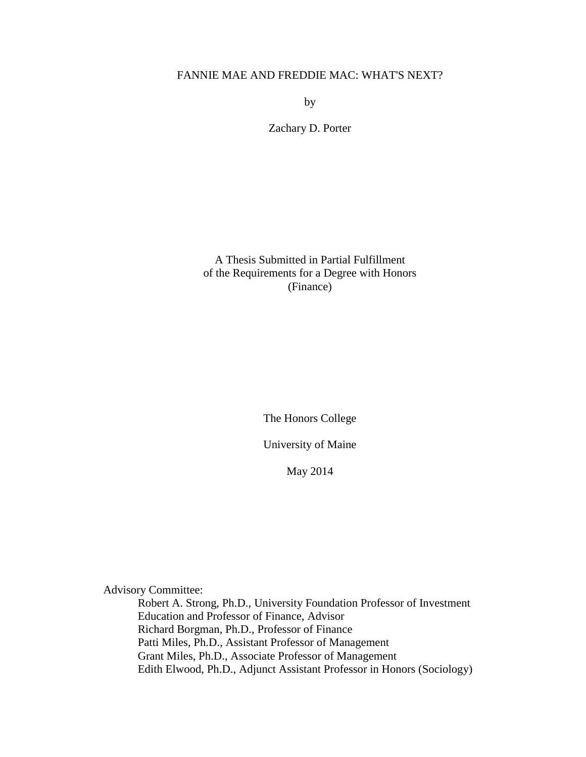# FANNIE MAE AND FREDDIE MAC: WHAT'S NEXT?

by

Zachary D. Porter

A Thesis Submitted in Partial Fulfillment of the Requirements for a Degree with Honors (Finance)

The Honors College

University of Maine

May 2014

Advisory Committee:

Robert A. Strong, Ph.D., University Foundation Professor of Investment Education and Professor of Finance, Advisor Richard Borgman, Ph.D., Professor of Finance Patti Miles, Ph.D., Assistant Professor of Management Grant Miles, Ph.D., Associate Professor of Management Edith Elwood, Ph.D., Adjunct Assistant Professor in Honors (Sociology)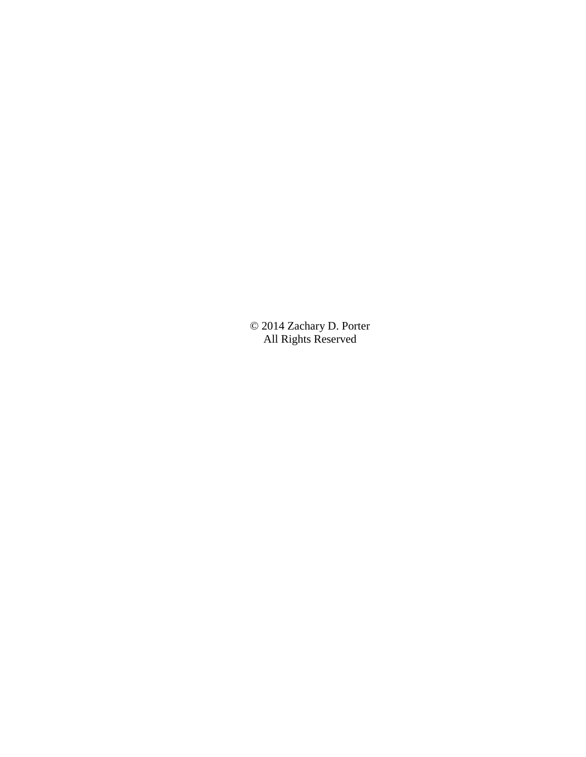© 2014 Zachary D. Porter All Rights Reserved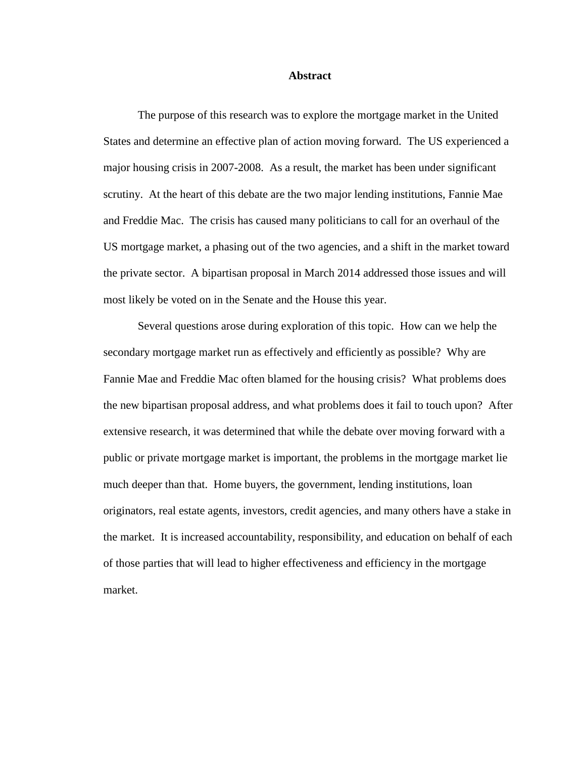### **Abstract**

The purpose of this research was to explore the mortgage market in the United States and determine an effective plan of action moving forward. The US experienced a major housing crisis in 2007-2008. As a result, the market has been under significant scrutiny. At the heart of this debate are the two major lending institutions, Fannie Mae and Freddie Mac. The crisis has caused many politicians to call for an overhaul of the US mortgage market, a phasing out of the two agencies, and a shift in the market toward the private sector. A bipartisan proposal in March 2014 addressed those issues and will most likely be voted on in the Senate and the House this year.

Several questions arose during exploration of this topic. How can we help the secondary mortgage market run as effectively and efficiently as possible? Why are Fannie Mae and Freddie Mac often blamed for the housing crisis? What problems does the new bipartisan proposal address, and what problems does it fail to touch upon? After extensive research, it was determined that while the debate over moving forward with a public or private mortgage market is important, the problems in the mortgage market lie much deeper than that. Home buyers, the government, lending institutions, loan originators, real estate agents, investors, credit agencies, and many others have a stake in the market. It is increased accountability, responsibility, and education on behalf of each of those parties that will lead to higher effectiveness and efficiency in the mortgage market.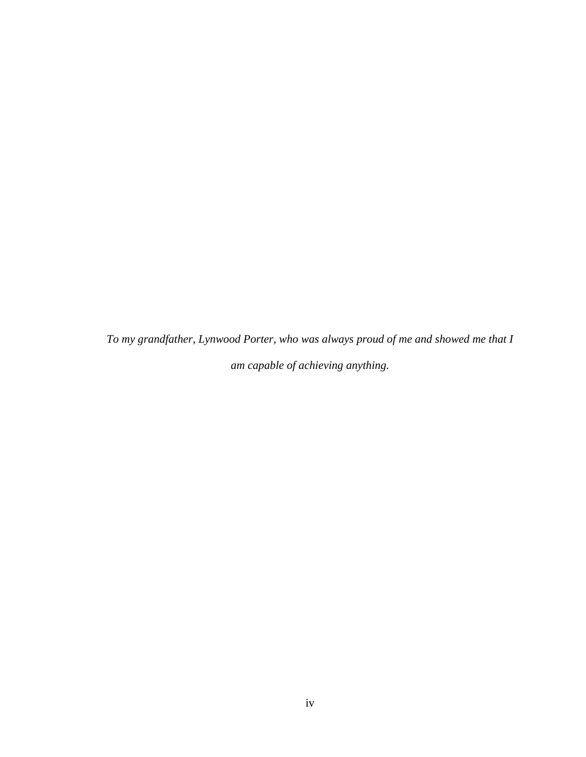*To my grandfather, Lynwood Porter, who was always proud of me and showed me that I am capable of achieving anything.*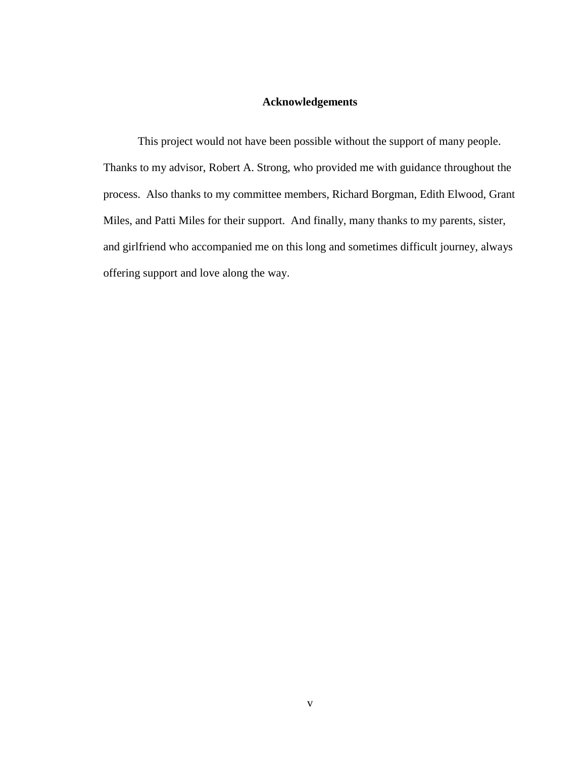# **Acknowledgements**

This project would not have been possible without the support of many people. Thanks to my advisor, Robert A. Strong, who provided me with guidance throughout the process. Also thanks to my committee members, Richard Borgman, Edith Elwood, Grant Miles, and Patti Miles for their support. And finally, many thanks to my parents, sister, and girlfriend who accompanied me on this long and sometimes difficult journey, always offering support and love along the way.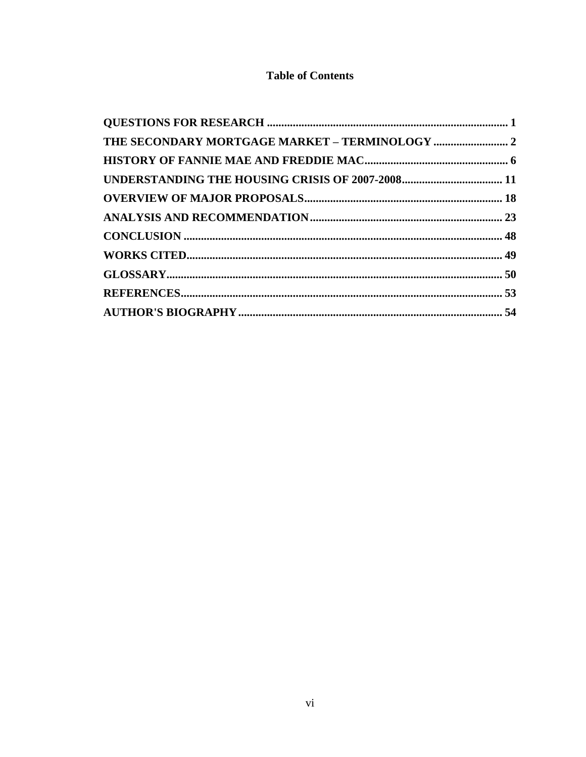# **Table of Contents**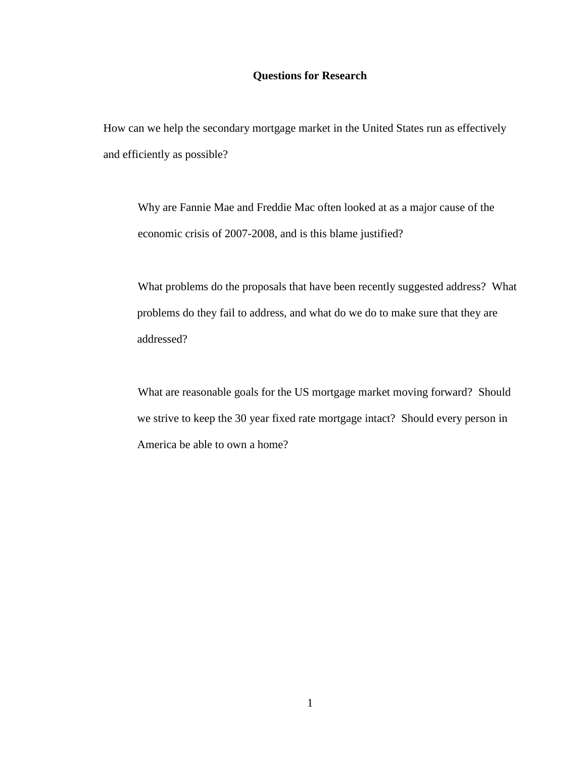## **Questions for Research**

<span id="page-7-0"></span>How can we help the secondary mortgage market in the United States run as effectively and efficiently as possible?

Why are Fannie Mae and Freddie Mac often looked at as a major cause of the economic crisis of 2007-2008, and is this blame justified?

What problems do the proposals that have been recently suggested address? What problems do they fail to address, and what do we do to make sure that they are addressed?

<span id="page-7-1"></span>What are reasonable goals for the US mortgage market moving forward? Should we strive to keep the 30 year fixed rate mortgage intact? Should every person in America be able to own a home?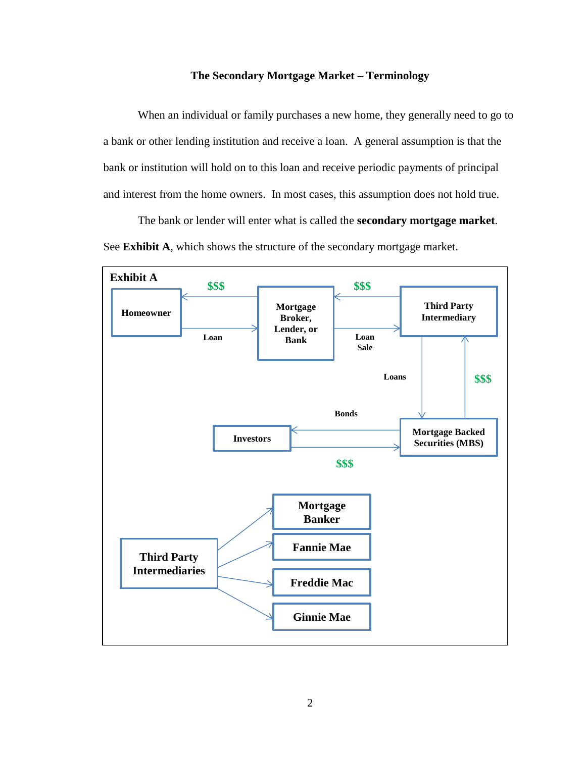## **The Secondary Mortgage Market – Terminology**

When an individual or family purchases a new home, they generally need to go to a bank or other lending institution and receive a loan. A general assumption is that the bank or institution will hold on to this loan and receive periodic payments of principal and interest from the home owners. In most cases, this assumption does not hold true.

The bank or lender will enter what is called the **secondary mortgage market**. See **Exhibit A**, which shows the structure of the secondary mortgage market.

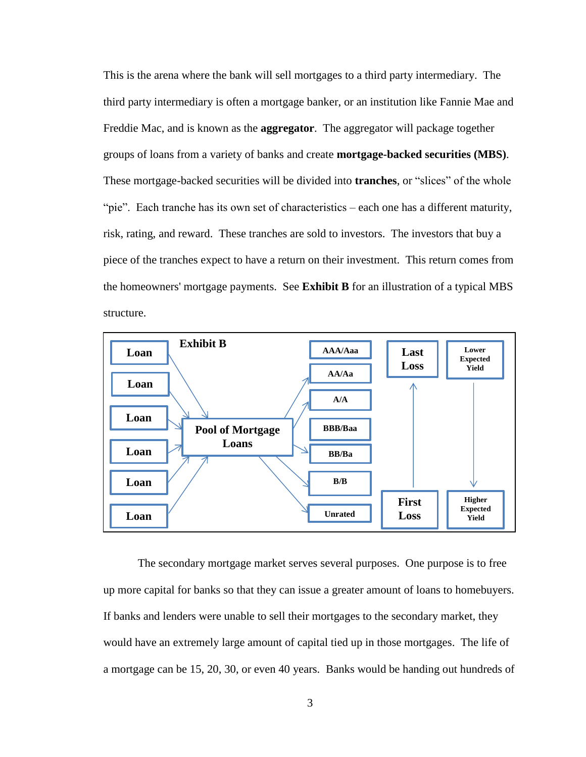This is the arena where the bank will sell mortgages to a third party intermediary. The third party intermediary is often a mortgage banker, or an institution like Fannie Mae and Freddie Mac, and is known as the **aggregator**. The aggregator will package together groups of loans from a variety of banks and create **mortgage-backed securities (MBS)**. These mortgage-backed securities will be divided into **tranches**, or "slices" of the whole "pie". Each tranche has its own set of characteristics – each one has a different maturity, risk, rating, and reward. These tranches are sold to investors. The investors that buy a piece of the tranches expect to have a return on their investment. This return comes from the homeowners' mortgage payments. See **Exhibit B** for an illustration of a typical MBS structure.



The secondary mortgage market serves several purposes. One purpose is to free up more capital for banks so that they can issue a greater amount of loans to homebuyers. If banks and lenders were unable to sell their mortgages to the secondary market, they would have an extremely large amount of capital tied up in those mortgages. The life of a mortgage can be 15, 20, 30, or even 40 years. Banks would be handing out hundreds of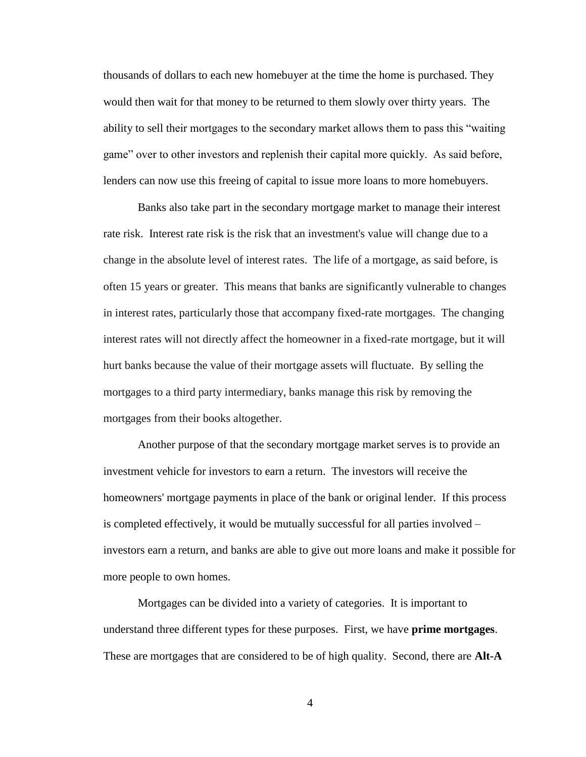thousands of dollars to each new homebuyer at the time the home is purchased. They would then wait for that money to be returned to them slowly over thirty years. The ability to sell their mortgages to the secondary market allows them to pass this "waiting game" over to other investors and replenish their capital more quickly. As said before, lenders can now use this freeing of capital to issue more loans to more homebuyers.

Banks also take part in the secondary mortgage market to manage their interest rate risk. Interest rate risk is the risk that an investment's value will change due to a change in the absolute level of interest rates. The life of a mortgage, as said before, is often 15 years or greater. This means that banks are significantly vulnerable to changes in interest rates, particularly those that accompany fixed-rate mortgages. The changing interest rates will not directly affect the homeowner in a fixed-rate mortgage, but it will hurt banks because the value of their mortgage assets will fluctuate. By selling the mortgages to a third party intermediary, banks manage this risk by removing the mortgages from their books altogether.

Another purpose of that the secondary mortgage market serves is to provide an investment vehicle for investors to earn a return. The investors will receive the homeowners' mortgage payments in place of the bank or original lender. If this process is completed effectively, it would be mutually successful for all parties involved – investors earn a return, and banks are able to give out more loans and make it possible for more people to own homes.

Mortgages can be divided into a variety of categories. It is important to understand three different types for these purposes. First, we have **prime mortgages**. These are mortgages that are considered to be of high quality. Second, there are **Alt-A**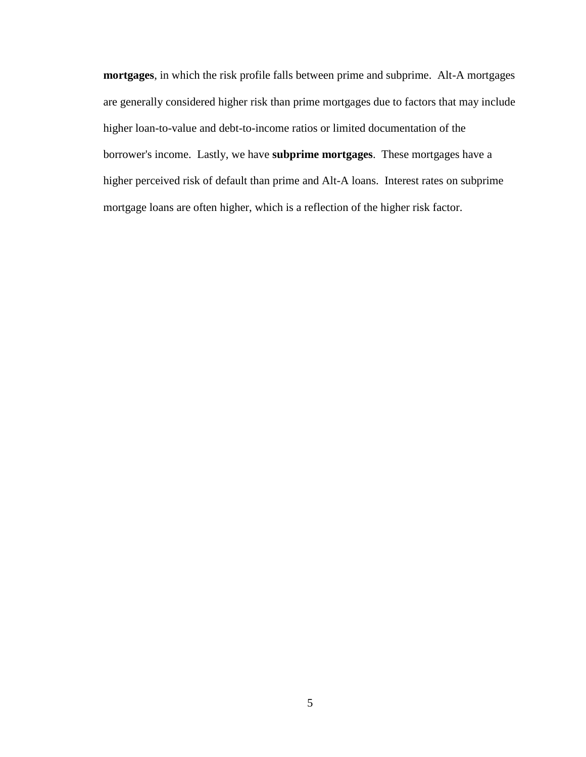<span id="page-11-0"></span>**mortgages**, in which the risk profile falls between prime and subprime. Alt-A mortgages are generally considered higher risk than prime mortgages due to factors that may include higher loan-to-value and debt-to-income ratios or limited documentation of the borrower's income. Lastly, we have **subprime mortgages**. These mortgages have a higher perceived risk of default than prime and Alt-A loans. Interest rates on subprime mortgage loans are often higher, which is a reflection of the higher risk factor.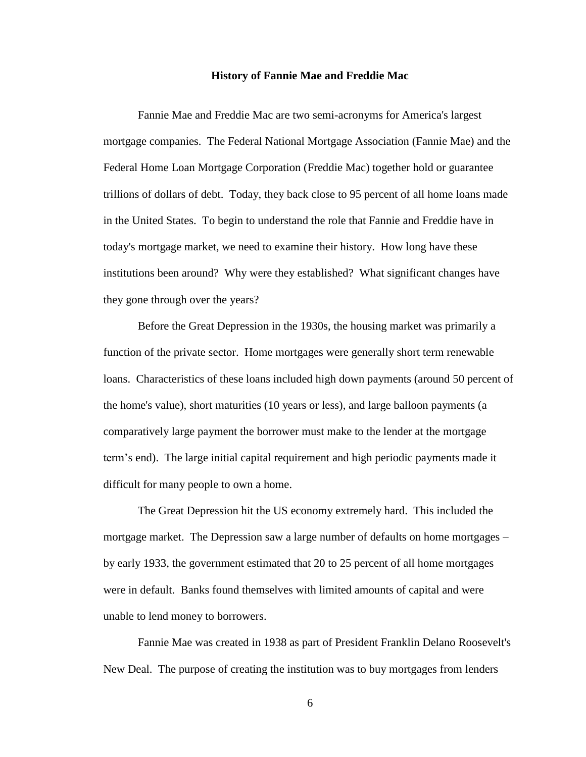#### **History of Fannie Mae and Freddie Mac**

Fannie Mae and Freddie Mac are two semi-acronyms for America's largest mortgage companies. The Federal National Mortgage Association (Fannie Mae) and the Federal Home Loan Mortgage Corporation (Freddie Mac) together hold or guarantee trillions of dollars of debt. Today, they back close to 95 percent of all home loans made in the United States. To begin to understand the role that Fannie and Freddie have in today's mortgage market, we need to examine their history. How long have these institutions been around? Why were they established? What significant changes have they gone through over the years?

Before the Great Depression in the 1930s, the housing market was primarily a function of the private sector. Home mortgages were generally short term renewable loans. Characteristics of these loans included high down payments (around 50 percent of the home's value), short maturities (10 years or less), and large balloon payments (a comparatively large payment the borrower must make to the lender at the mortgage term's end). The large initial capital requirement and high periodic payments made it difficult for many people to own a home.

The Great Depression hit the US economy extremely hard. This included the mortgage market. The Depression saw a large number of defaults on home mortgages – by early 1933, the government estimated that 20 to 25 percent of all home mortgages were in default. Banks found themselves with limited amounts of capital and were unable to lend money to borrowers.

Fannie Mae was created in 1938 as part of President Franklin Delano Roosevelt's New Deal. The purpose of creating the institution was to buy mortgages from lenders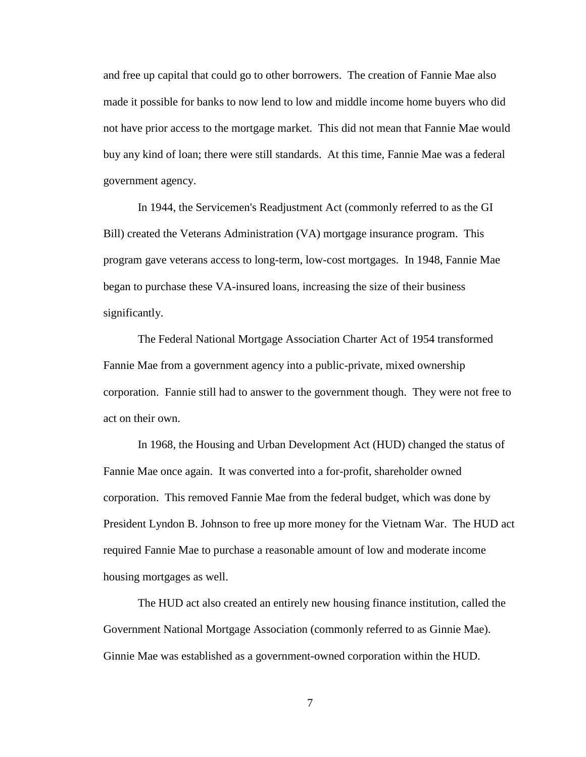and free up capital that could go to other borrowers. The creation of Fannie Mae also made it possible for banks to now lend to low and middle income home buyers who did not have prior access to the mortgage market. This did not mean that Fannie Mae would buy any kind of loan; there were still standards. At this time, Fannie Mae was a federal government agency.

In 1944, the Servicemen's Readjustment Act (commonly referred to as the GI Bill) created the Veterans Administration (VA) mortgage insurance program. This program gave veterans access to long-term, low-cost mortgages. In 1948, Fannie Mae began to purchase these VA-insured loans, increasing the size of their business significantly.

The Federal National Mortgage Association Charter Act of 1954 transformed Fannie Mae from a government agency into a public-private, mixed ownership corporation. Fannie still had to answer to the government though. They were not free to act on their own.

In 1968, the Housing and Urban Development Act (HUD) changed the status of Fannie Mae once again. It was converted into a for-profit, shareholder owned corporation. This removed Fannie Mae from the federal budget, which was done by President Lyndon B. Johnson to free up more money for the Vietnam War. The HUD act required Fannie Mae to purchase a reasonable amount of low and moderate income housing mortgages as well.

The HUD act also created an entirely new housing finance institution, called the Government National Mortgage Association (commonly referred to as Ginnie Mae). Ginnie Mae was established as a government-owned corporation within the HUD.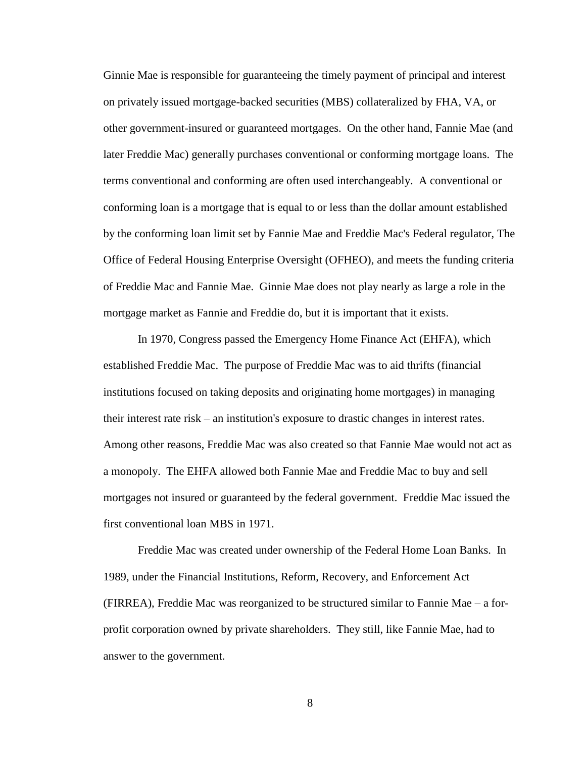Ginnie Mae is responsible for guaranteeing the timely payment of principal and interest on privately issued mortgage-backed securities (MBS) collateralized by FHA, VA, or other government-insured or guaranteed mortgages. On the other hand, Fannie Mae (and later Freddie Mac) generally purchases conventional or conforming mortgage loans. The terms conventional and conforming are often used interchangeably. A conventional or conforming loan is a mortgage that is equal to or less than the dollar amount established by the conforming loan limit set by Fannie Mae and Freddie Mac's Federal regulator, The Office of Federal Housing Enterprise Oversight (OFHEO), and meets the funding criteria of Freddie Mac and Fannie Mae. Ginnie Mae does not play nearly as large a role in the mortgage market as Fannie and Freddie do, but it is important that it exists.

In 1970, Congress passed the Emergency Home Finance Act (EHFA), which established Freddie Mac. The purpose of Freddie Mac was to aid thrifts (financial institutions focused on taking deposits and originating home mortgages) in managing their interest rate risk – an institution's exposure to drastic changes in interest rates. Among other reasons, Freddie Mac was also created so that Fannie Mae would not act as a monopoly. The EHFA allowed both Fannie Mae and Freddie Mac to buy and sell mortgages not insured or guaranteed by the federal government. Freddie Mac issued the first conventional loan MBS in 1971.

Freddie Mac was created under ownership of the Federal Home Loan Banks. In 1989, under the Financial Institutions, Reform, Recovery, and Enforcement Act (FIRREA), Freddie Mac was reorganized to be structured similar to Fannie Mae – a forprofit corporation owned by private shareholders. They still, like Fannie Mae, had to answer to the government.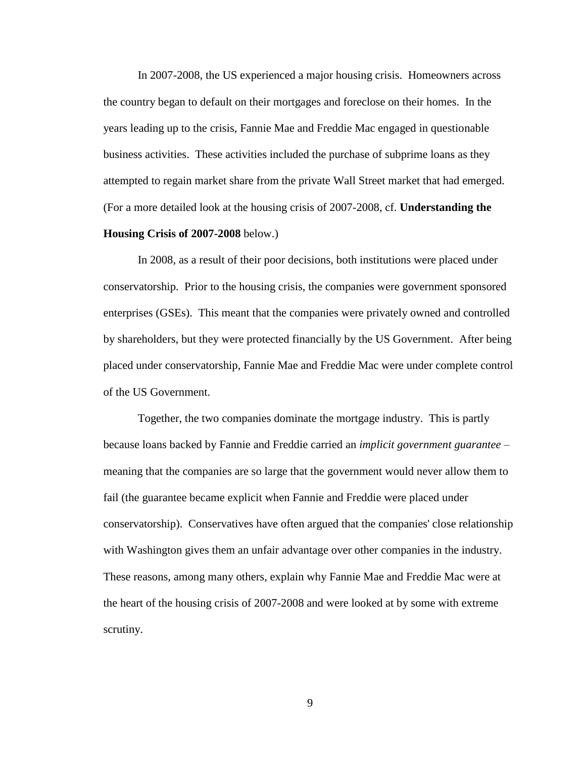In 2007-2008, the US experienced a major housing crisis. Homeowners across the country began to default on their mortgages and foreclose on their homes. In the years leading up to the crisis, Fannie Mae and Freddie Mac engaged in questionable business activities. These activities included the purchase of subprime loans as they attempted to regain market share from the private Wall Street market that had emerged. (For a more detailed look at the housing crisis of 2007-2008, cf. **Understanding the** 

### **Housing Crisis of 2007-2008** below.)

In 2008, as a result of their poor decisions, both institutions were placed under conservatorship. Prior to the housing crisis, the companies were government sponsored enterprises (GSEs). This meant that the companies were privately owned and controlled by shareholders, but they were protected financially by the US Government. After being placed under conservatorship, Fannie Mae and Freddie Mac were under complete control of the US Government.

Together, the two companies dominate the mortgage industry. This is partly because loans backed by Fannie and Freddie carried an *implicit government guarantee* – meaning that the companies are so large that the government would never allow them to fail (the guarantee became explicit when Fannie and Freddie were placed under conservatorship). Conservatives have often argued that the companies' close relationship with Washington gives them an unfair advantage over other companies in the industry. These reasons, among many others, explain why Fannie Mae and Freddie Mac were at the heart of the housing crisis of 2007-2008 and were looked at by some with extreme scrutiny.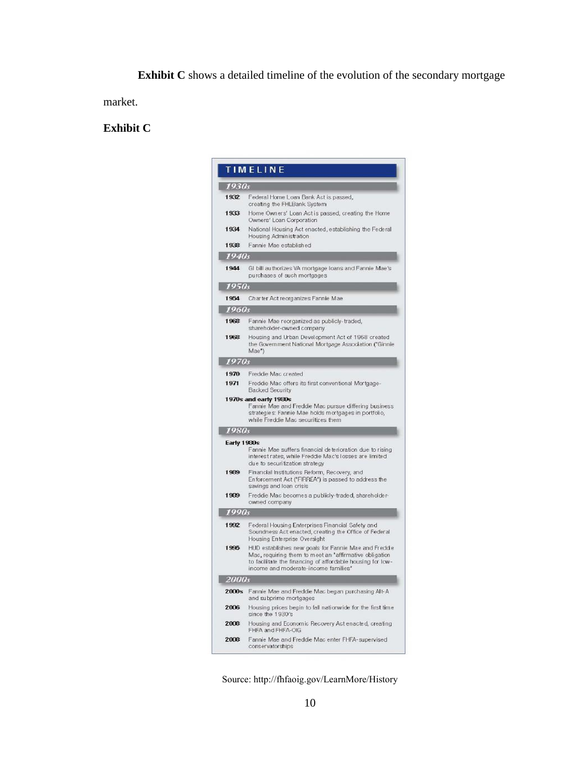**Exhibit C** shows a detailed timeline of the evolution of the secondary mortgage

market.

# **Exhibit C**

|                                                                                                                                                                             | <b>TIMELINE</b>                                                                                                                                                                                                      |  |  |  |
|-----------------------------------------------------------------------------------------------------------------------------------------------------------------------------|----------------------------------------------------------------------------------------------------------------------------------------------------------------------------------------------------------------------|--|--|--|
| 1930s                                                                                                                                                                       |                                                                                                                                                                                                                      |  |  |  |
| 1932                                                                                                                                                                        | Federal Home Loan Bank Act is passed,<br>creating the FHLBank System                                                                                                                                                 |  |  |  |
| 1933                                                                                                                                                                        | Home Owners' Loan Act is passed, creating the Home<br>Owners' Loan Corporation                                                                                                                                       |  |  |  |
| 1934                                                                                                                                                                        | National Housing Act enacted, establishing the Federal<br>Housing Administration                                                                                                                                     |  |  |  |
| 1938                                                                                                                                                                        | Fannie Mae established                                                                                                                                                                                               |  |  |  |
| 1940s                                                                                                                                                                       |                                                                                                                                                                                                                      |  |  |  |
| 1944                                                                                                                                                                        | GI bill authorizes VA mortgage Ioans and Fannie Mae's<br>purchases of such mortgages                                                                                                                                 |  |  |  |
| 1950s                                                                                                                                                                       |                                                                                                                                                                                                                      |  |  |  |
| 1954                                                                                                                                                                        | Charter Act reorganizes Fannie Mae                                                                                                                                                                                   |  |  |  |
| 1960s                                                                                                                                                                       |                                                                                                                                                                                                                      |  |  |  |
| 1968                                                                                                                                                                        | Fannie Mae reorganized as publicly-traded,<br>shareholder-owned company                                                                                                                                              |  |  |  |
| 1968                                                                                                                                                                        | Housing and Urban Development Act of 1968 created<br>the Government National Mortgage Association ("Ginnie<br>Mae")                                                                                                  |  |  |  |
| 1970s                                                                                                                                                                       |                                                                                                                                                                                                                      |  |  |  |
| 1970                                                                                                                                                                        | Freddie Mac created                                                                                                                                                                                                  |  |  |  |
| 1971                                                                                                                                                                        | Freddie Mac offers its first conventional Mortgage-<br><b>Backed Security</b>                                                                                                                                        |  |  |  |
| 1970s and early 1980s<br>Fannie Mae and Freddie Mac pursue differing business<br>strategies: Fannie Mae holds mortgages in portfolio,<br>while Freddie Mac securitizes them |                                                                                                                                                                                                                      |  |  |  |
| 1980s                                                                                                                                                                       |                                                                                                                                                                                                                      |  |  |  |
| <b>Early 1980s</b>                                                                                                                                                          | Fannie Mae suffers financial deterioration due to rising<br>interest rates, while Freddie Mac's losses are limited<br>due to securitization strategy                                                                 |  |  |  |
| 1989                                                                                                                                                                        | Financial Institutions Reform, Recovery, and<br>Enforcement Act ("FIRREA") is passed to address the<br>savings and loan crisis                                                                                       |  |  |  |
| 1989                                                                                                                                                                        | Freddie Mac becomes a publicly-traded, shareholder-<br>owned company                                                                                                                                                 |  |  |  |
| 1990s                                                                                                                                                                       |                                                                                                                                                                                                                      |  |  |  |
| 1992                                                                                                                                                                        | Federal Housing Enterprises Financial Safety and<br>Soundness Act enacted, creating the Office of Federal<br>Housing Enterprise Oversight                                                                            |  |  |  |
| 1995                                                                                                                                                                        | HUD establishes new goals for Fannie Mae and Freddie<br>Mac, requiring them to meet an "affirmative obligation<br>to facilitate the financing of affordable housing for low-<br>income and moderate-income families* |  |  |  |
| 2000s                                                                                                                                                                       |                                                                                                                                                                                                                      |  |  |  |
| 2000s                                                                                                                                                                       | Fannie Mae and Freddie Mac began purchasing Alt-A<br>and subprime mortgages                                                                                                                                          |  |  |  |
| 2006                                                                                                                                                                        | Housing prices begin to fall nationwide for the first time<br>since the 1930's                                                                                                                                       |  |  |  |
| 2008                                                                                                                                                                        | Housing and Economic Recovery Act enacted, creating<br>FHFA and FHFA-OIG                                                                                                                                             |  |  |  |
| 2008                                                                                                                                                                        | Fannie Mae and Freddie Mac enter FHFA-supervised<br>conservatorships                                                                                                                                                 |  |  |  |

Source:<http://fhfaoig.gov/LearnMore/History>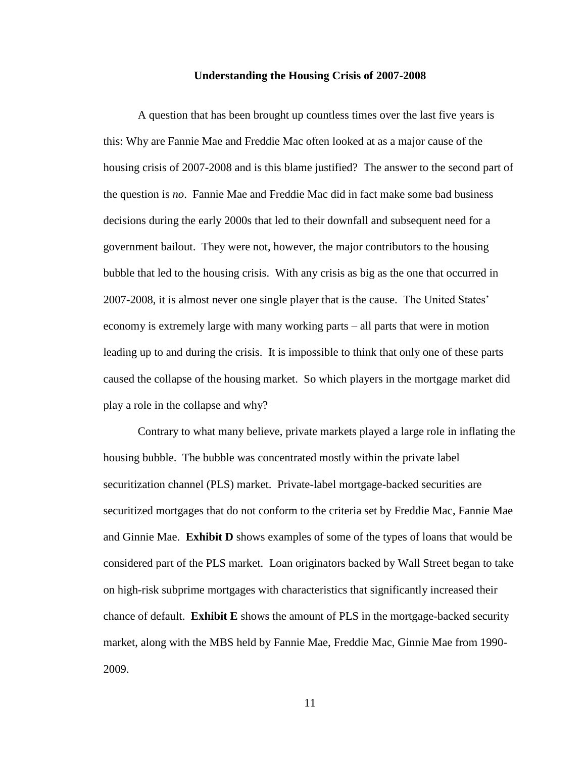#### **Understanding the Housing Crisis of 2007-2008**

<span id="page-17-0"></span>A question that has been brought up countless times over the last five years is this: Why are Fannie Mae and Freddie Mac often looked at as a major cause of the housing crisis of 2007-2008 and is this blame justified? The answer to the second part of the question is *no*. Fannie Mae and Freddie Mac did in fact make some bad business decisions during the early 2000s that led to their downfall and subsequent need for a government bailout. They were not, however, the major contributors to the housing bubble that led to the housing crisis. With any crisis as big as the one that occurred in 2007-2008, it is almost never one single player that is the cause. The United States' economy is extremely large with many working parts – all parts that were in motion leading up to and during the crisis. It is impossible to think that only one of these parts caused the collapse of the housing market. So which players in the mortgage market did play a role in the collapse and why?

Contrary to what many believe, private markets played a large role in inflating the housing bubble. The bubble was concentrated mostly within the private label securitization channel (PLS) market. Private-label mortgage-backed securities are securitized mortgages that do not conform to the criteria set by Freddie Mac, Fannie Mae and Ginnie Mae. **Exhibit D** shows examples of some of the types of loans that would be considered part of the PLS market. Loan originators backed by Wall Street began to take on high-risk subprime mortgages with characteristics that significantly increased their chance of default. **Exhibit E** shows the amount of PLS in the mortgage-backed security market, along with the MBS held by Fannie Mae, Freddie Mac, Ginnie Mae from 1990- 2009.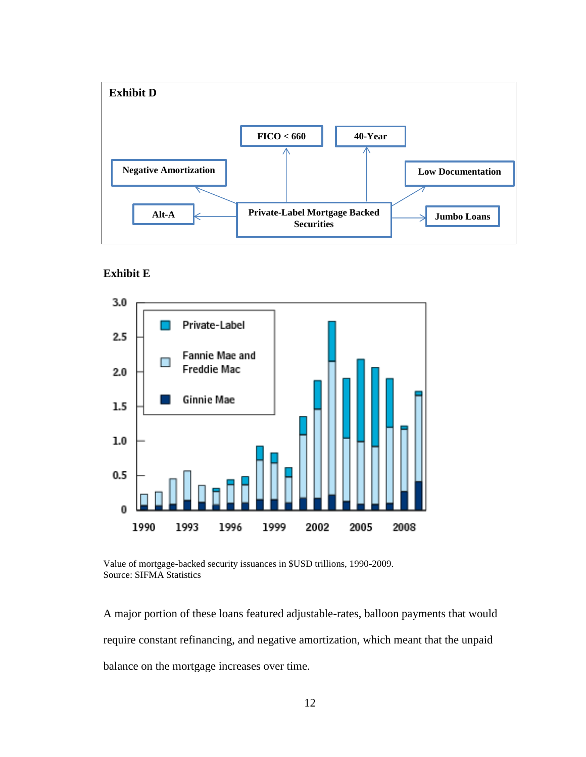

**Exhibit E**



Value of mortgage-backed security issuances in \$USD trillions, 1990-2009. Source: SIFMA Statistics

A major portion of these loans featured adjustable-rates, balloon payments that would require constant refinancing, and negative amortization, which meant that the unpaid balance on the mortgage increases over time.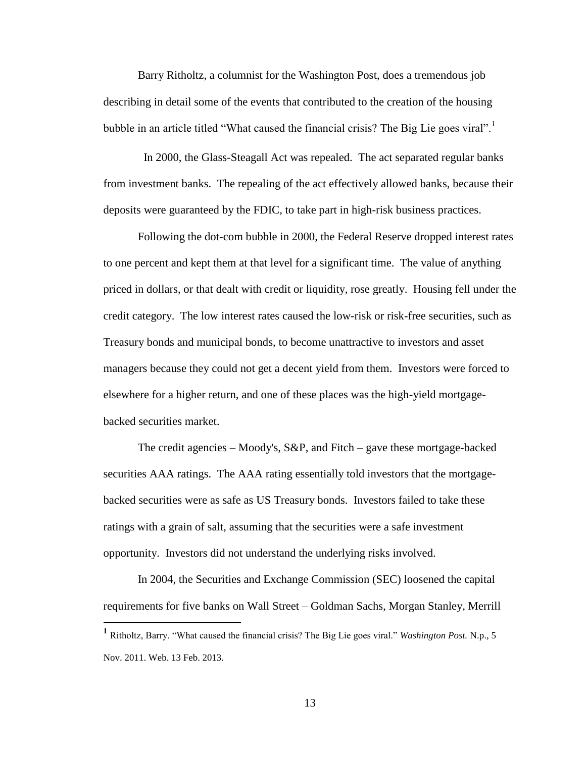Barry Ritholtz, a columnist for the Washington Post, does a tremendous job describing in detail some of the events that contributed to the creation of the housing bubble in an article titled "What caused the financial crisis? The Big Lie goes viral".<sup>1</sup>

 In 2000, the Glass-Steagall Act was repealed. The act separated regular banks from investment banks. The repealing of the act effectively allowed banks, because their deposits were guaranteed by the FDIC, to take part in high-risk business practices.

Following the dot-com bubble in 2000, the Federal Reserve dropped interest rates to one percent and kept them at that level for a significant time. The value of anything priced in dollars, or that dealt with credit or liquidity, rose greatly. Housing fell under the credit category. The low interest rates caused the low-risk or risk-free securities, such as Treasury bonds and municipal bonds, to become unattractive to investors and asset managers because they could not get a decent yield from them. Investors were forced to elsewhere for a higher return, and one of these places was the high-yield mortgagebacked securities market.

The credit agencies – Moody's, S&P, and Fitch – gave these mortgage-backed securities AAA ratings. The AAA rating essentially told investors that the mortgagebacked securities were as safe as US Treasury bonds. Investors failed to take these ratings with a grain of salt, assuming that the securities were a safe investment opportunity. Investors did not understand the underlying risks involved.

In 2004, the Securities and Exchange Commission (SEC) loosened the capital requirements for five banks on Wall Street – Goldman Sachs, Morgan Stanley, Merrill

**<sup>1</sup>** Ritholtz, Barry. "What caused the financial crisis? The Big Lie goes viral." *Washington Post.* N.p., 5 Nov. 2011. Web. 13 Feb. 2013.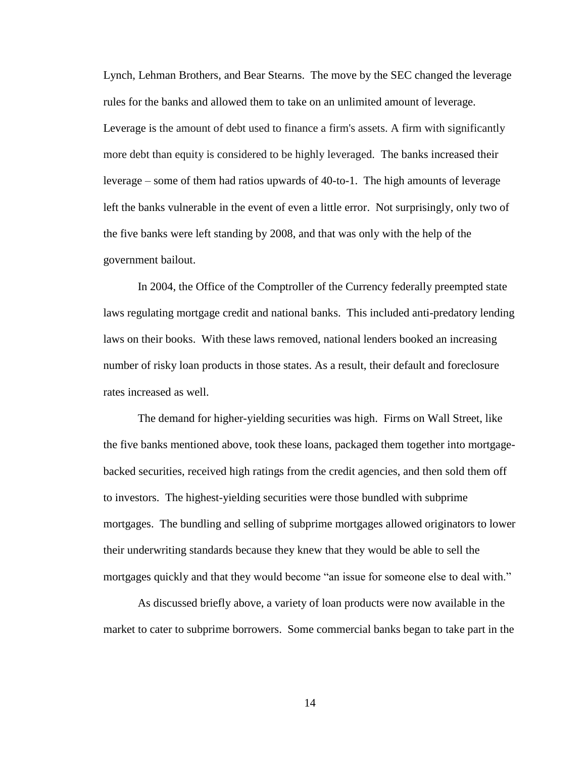Lynch, Lehman Brothers, and Bear Stearns. The move by the SEC changed the leverage rules for the banks and allowed them to take on an unlimited amount of leverage. Leverage is the amount of debt used to finance a firm's assets. A firm with significantly more debt than equity is considered to be highly leveraged. The banks increased their leverage – some of them had ratios upwards of 40-to-1. The high amounts of leverage left the banks vulnerable in the event of even a little error. Not surprisingly, only two of the five banks were left standing by 2008, and that was only with the help of the government bailout.

In 2004, the Office of the Comptroller of the Currency federally preempted state laws regulating mortgage credit and national banks. This included anti-predatory lending laws on their books. With these laws removed, national lenders booked an increasing number of risky loan products in those states. As a result, their default and foreclosure rates increased as well.

The demand for higher-yielding securities was high. Firms on Wall Street, like the five banks mentioned above, took these loans, packaged them together into mortgagebacked securities, received high ratings from the credit agencies, and then sold them off to investors. The highest-yielding securities were those bundled with subprime mortgages. The bundling and selling of subprime mortgages allowed originators to lower their underwriting standards because they knew that they would be able to sell the mortgages quickly and that they would become "an issue for someone else to deal with."

As discussed briefly above, a variety of loan products were now available in the market to cater to subprime borrowers. Some commercial banks began to take part in the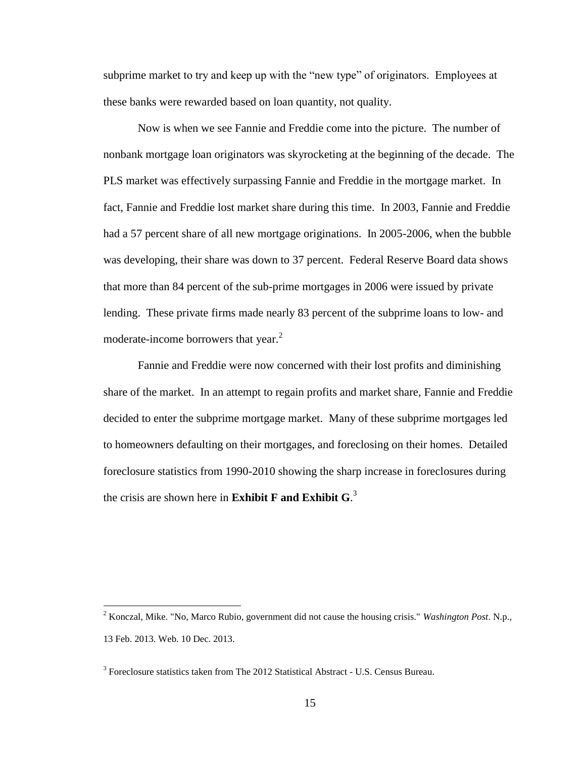subprime market to try and keep up with the "new type" of originators. Employees at these banks were rewarded based on loan quantity, not quality.

Now is when we see Fannie and Freddie come into the picture. The number of nonbank mortgage loan originators was skyrocketing at the beginning of the decade. The PLS market was effectively surpassing Fannie and Freddie in the mortgage market. In fact, Fannie and Freddie lost market share during this time. In 2003, Fannie and Freddie had a 57 percent share of all new mortgage originations. In 2005-2006, when the bubble was developing, their share was down to 37 percent. Federal Reserve Board data shows that more than 84 percent of the sub-prime mortgages in 2006 were issued by private lending. These private firms made nearly 83 percent of the subprime loans to low- and moderate-income borrowers that year.<sup>2</sup>

Fannie and Freddie were now concerned with their lost profits and diminishing share of the market. In an attempt to regain profits and market share, Fannie and Freddie decided to enter the subprime mortgage market. Many of these subprime mortgages led to homeowners defaulting on their mortgages, and foreclosing on their homes. Detailed foreclosure statistics from 1990-2010 showing the sharp increase in foreclosures during the crisis are shown here in **Exhibit F and Exhibit G**. 3

<sup>2</sup> Konczal, Mike. "No, Marco Rubio, government did not cause the housing crisis." *Washington Post*. N.p., 13 Feb. 2013. Web. 10 Dec. 2013.

 $3$  Foreclosure statistics taken from The 2012 Statistical Abstract - [U.S. Census Bureau.](https://www.google.com/url?sa=t&rct=j&q=&esrc=s&source=web&cd=1&ved=0CCoQFjAA&url=https%3A%2F%2Fwww.census.gov%2Fcompendia%2Fstatab%2F&ei=hDpEU-GvBZO4yAHamQE&usg=AFQjCNHWYIBQkUge1YJ0vGyKYYIuP4YCHA)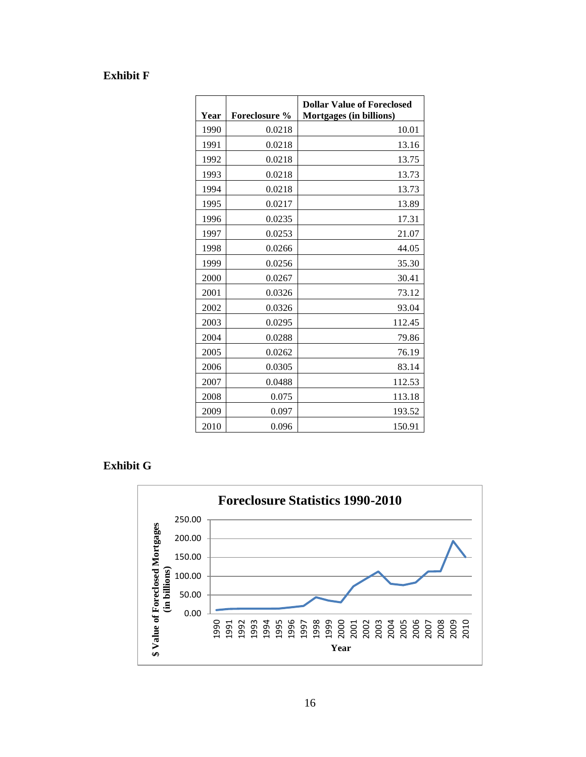# **Exhibit F**

| Year | <b>Foreclosure %</b> | <b>Dollar Value of Foreclosed</b><br>Mortgages (in billions) |
|------|----------------------|--------------------------------------------------------------|
| 1990 | 0.0218               | 10.01                                                        |
| 1991 | 0.0218               | 13.16                                                        |
| 1992 | 0.0218               | 13.75                                                        |
| 1993 | 0.0218               | 13.73                                                        |
| 1994 | 0.0218               | 13.73                                                        |
| 1995 | 0.0217               | 13.89                                                        |
| 1996 | 0.0235               | 17.31                                                        |
| 1997 | 0.0253               | 21.07                                                        |
| 1998 | 0.0266               | 44.05                                                        |
| 1999 | 0.0256               | 35.30                                                        |
| 2000 | 0.0267               | 30.41                                                        |
| 2001 | 0.0326               | 73.12                                                        |
| 2002 | 0.0326               | 93.04                                                        |
| 2003 | 0.0295               | 112.45                                                       |
| 2004 | 0.0288               | 79.86                                                        |
| 2005 | 0.0262               | 76.19                                                        |
| 2006 | 0.0305               | 83.14                                                        |
| 2007 | 0.0488               | 112.53                                                       |
| 2008 | 0.075                | 113.18                                                       |
| 2009 | 0.097                | 193.52                                                       |
| 2010 | 0.096                | 150.91                                                       |

**Exhibit G**

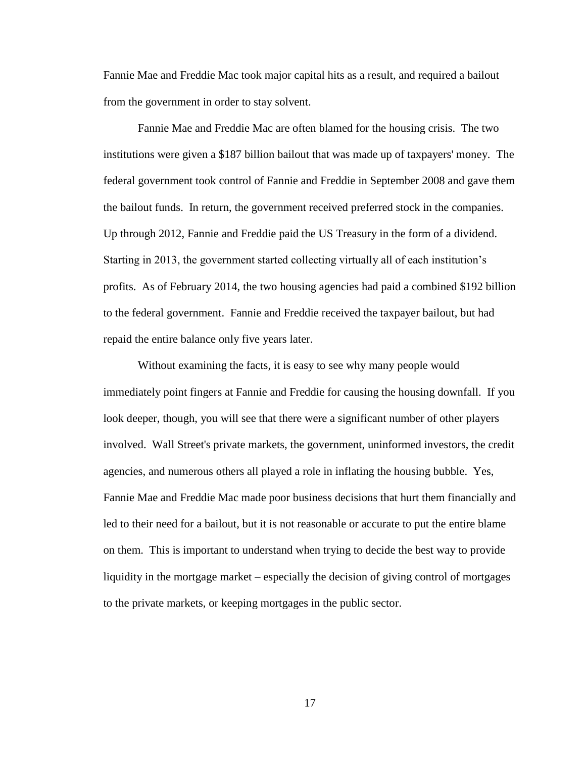Fannie Mae and Freddie Mac took major capital hits as a result, and required a bailout from the government in order to stay solvent.

Fannie Mae and Freddie Mac are often blamed for the housing crisis. The two institutions were given a \$187 billion bailout that was made up of taxpayers' money. The federal government took control of Fannie and Freddie in September 2008 and gave them the bailout funds. In return, the government received preferred stock in the companies. Up through 2012, Fannie and Freddie paid the US Treasury in the form of a dividend. Starting in 2013, the government started collecting virtually all of each institution's profits. As of February 2014, the two housing agencies had paid a combined \$192 billion to the federal government. Fannie and Freddie received the taxpayer bailout, but had repaid the entire balance only five years later.

Without examining the facts, it is easy to see why many people would immediately point fingers at Fannie and Freddie for causing the housing downfall. If you look deeper, though, you will see that there were a significant number of other players involved. Wall Street's private markets, the government, uninformed investors, the credit agencies, and numerous others all played a role in inflating the housing bubble. Yes, Fannie Mae and Freddie Mac made poor business decisions that hurt them financially and led to their need for a bailout, but it is not reasonable or accurate to put the entire blame on them. This is important to understand when trying to decide the best way to provide liquidity in the mortgage market – especially the decision of giving control of mortgages to the private markets, or keeping mortgages in the public sector.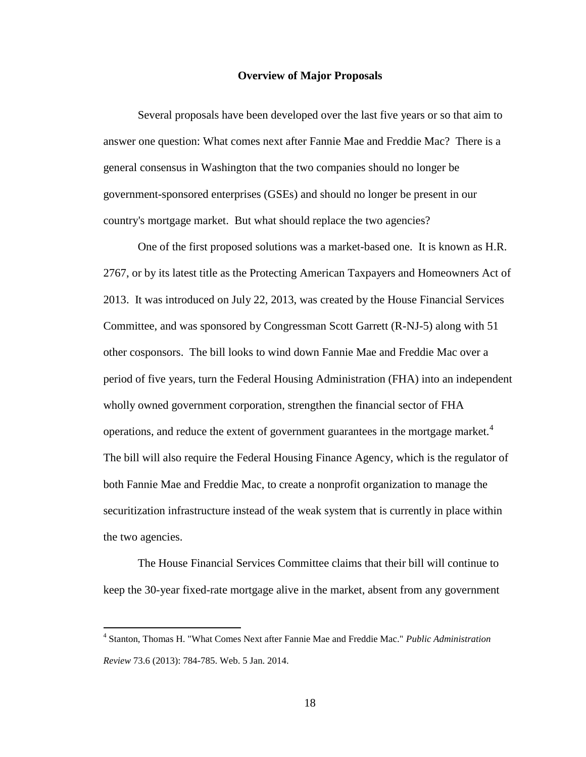#### **Overview of Major Proposals**

<span id="page-24-0"></span>Several proposals have been developed over the last five years or so that aim to answer one question: What comes next after Fannie Mae and Freddie Mac? There is a general consensus in Washington that the two companies should no longer be government-sponsored enterprises (GSEs) and should no longer be present in our country's mortgage market. But what should replace the two agencies?

One of the first proposed solutions was a market-based one. It is known as H.R. 2767, or by its latest title as the Protecting American Taxpayers and Homeowners Act of 2013. It was introduced on July 22, 2013, was created by the House Financial Services Committee, and was sponsored by Congressman Scott Garrett (R-NJ-5) along with 51 other cosponsors. The bill looks to wind down Fannie Mae and Freddie Mac over a period of five years, turn the Federal Housing Administration (FHA) into an independent wholly owned government corporation, strengthen the financial sector of FHA operations, and reduce the extent of government guarantees in the mortgage market.<sup>4</sup> The bill will also require the Federal Housing Finance Agency, which is the regulator of both Fannie Mae and Freddie Mac, to create a nonprofit organization to manage the securitization infrastructure instead of the weak system that is currently in place within the two agencies.

The House Financial Services Committee claims that their bill will continue to keep the 30-year fixed-rate mortgage alive in the market, absent from any government

<sup>4</sup> Stanton, Thomas H. "What Comes Next after Fannie Mae and Freddie Mac." *Public Administration Review* 73.6 (2013): 784-785. Web. 5 Jan. 2014.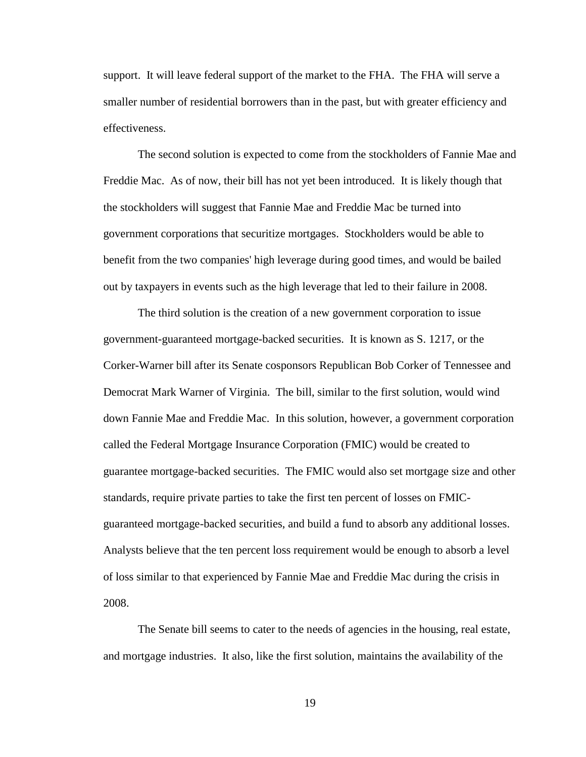support. It will leave federal support of the market to the FHA. The FHA will serve a smaller number of residential borrowers than in the past, but with greater efficiency and effectiveness.

The second solution is expected to come from the stockholders of Fannie Mae and Freddie Mac. As of now, their bill has not yet been introduced. It is likely though that the stockholders will suggest that Fannie Mae and Freddie Mac be turned into government corporations that securitize mortgages. Stockholders would be able to benefit from the two companies' high leverage during good times, and would be bailed out by taxpayers in events such as the high leverage that led to their failure in 2008.

The third solution is the creation of a new government corporation to issue government-guaranteed mortgage-backed securities. It is known as S. 1217, or the Corker-Warner bill after its Senate cosponsors Republican Bob Corker of Tennessee and Democrat Mark Warner of Virginia. The bill, similar to the first solution, would wind down Fannie Mae and Freddie Mac. In this solution, however, a government corporation called the Federal Mortgage Insurance Corporation (FMIC) would be created to guarantee mortgage-backed securities. The FMIC would also set mortgage size and other standards, require private parties to take the first ten percent of losses on FMICguaranteed mortgage-backed securities, and build a fund to absorb any additional losses. Analysts believe that the ten percent loss requirement would be enough to absorb a level of loss similar to that experienced by Fannie Mae and Freddie Mac during the crisis in 2008.

The Senate bill seems to cater to the needs of agencies in the housing, real estate, and mortgage industries. It also, like the first solution, maintains the availability of the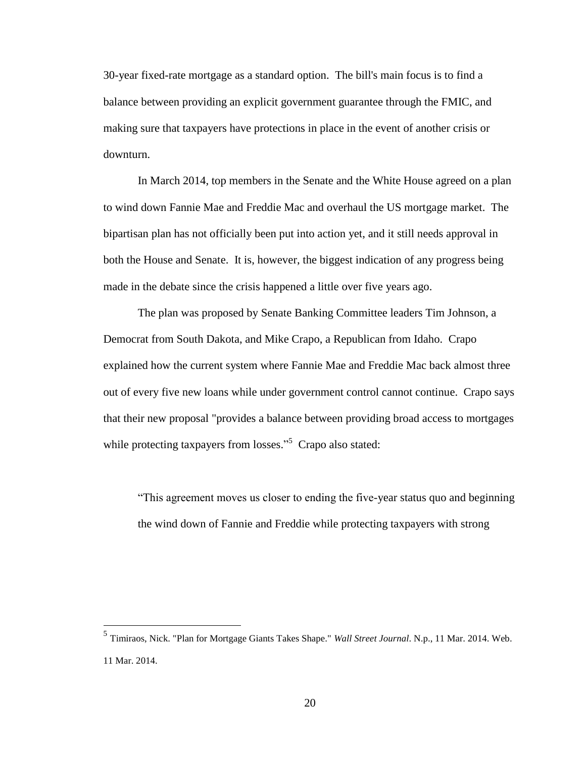30-year fixed-rate mortgage as a standard option. The bill's main focus is to find a balance between providing an explicit government guarantee through the FMIC, and making sure that taxpayers have protections in place in the event of another crisis or downturn.

In March 2014, top members in the Senate and the White House agreed on a plan to wind down Fannie Mae and Freddie Mac and overhaul the US mortgage market. The bipartisan plan has not officially been put into action yet, and it still needs approval in both the House and Senate. It is, however, the biggest indication of any progress being made in the debate since the crisis happened a little over five years ago.

The plan was proposed by Senate Banking Committee leaders Tim Johnson, a Democrat from South Dakota, and Mike Crapo, a Republican from Idaho. Crapo explained how the current system where Fannie Mae and Freddie Mac back almost three out of every five new loans while under government control cannot continue. Crapo says that their new proposal "provides a balance between providing broad access to mortgages while protecting taxpayers from losses."<sup>5</sup> Crapo also stated:

"This agreement moves us closer to ending the five-year status quo and beginning the wind down of Fannie and Freddie while protecting taxpayers with strong

<sup>5</sup> Timiraos, Nick. "Plan for Mortgage Giants Takes Shape." *Wall Street Journal*. N.p., 11 Mar. 2014. Web. 11 Mar. 2014.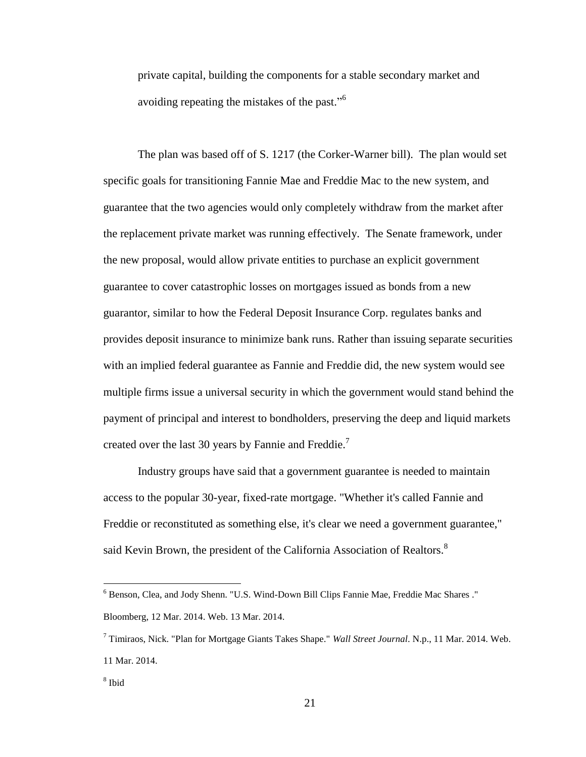private capital, building the components for a stable secondary market and avoiding repeating the mistakes of the past."<sup>6</sup>

The plan was based off of S. 1217 (the Corker-Warner bill). The plan would set specific goals for transitioning Fannie Mae and Freddie Mac to the new system, and guarantee that the two agencies would only completely withdraw from the market after the replacement private market was running effectively. The Senate framework, under the new proposal, would allow private entities to purchase an explicit government guarantee to cover catastrophic losses on mortgages issued as bonds from a new guarantor, similar to how the Federal Deposit Insurance Corp. regulates banks and provides deposit insurance to minimize bank runs. Rather than issuing separate securities with an implied federal guarantee as Fannie and Freddie did, the new system would see multiple firms issue a universal security in which the government would stand behind the payment of principal and interest to bondholders, preserving the deep and liquid markets created over the last 30 years by Fannie and Freddie.<sup>7</sup>

Industry groups have said that a government guarantee is needed to maintain access to the popular 30-year, fixed-rate mortgage. "Whether it's called Fannie and Freddie or reconstituted as something else, it's clear we need a government guarantee," said Kevin Brown, the president of the California Association of Realtors.<sup>8</sup>

<sup>6</sup> Benson, Clea, and Jody Shenn. "U.S. Wind-Down Bill Clips Fannie Mae, Freddie Mac Shares ." Bloomberg, 12 Mar. 2014. Web. 13 Mar. 2014.

<sup>7</sup> Timiraos, Nick. "Plan for Mortgage Giants Takes Shape." *Wall Street Journal*. N.p., 11 Mar. 2014. Web. 11 Mar. 2014.

<sup>8</sup> Ibid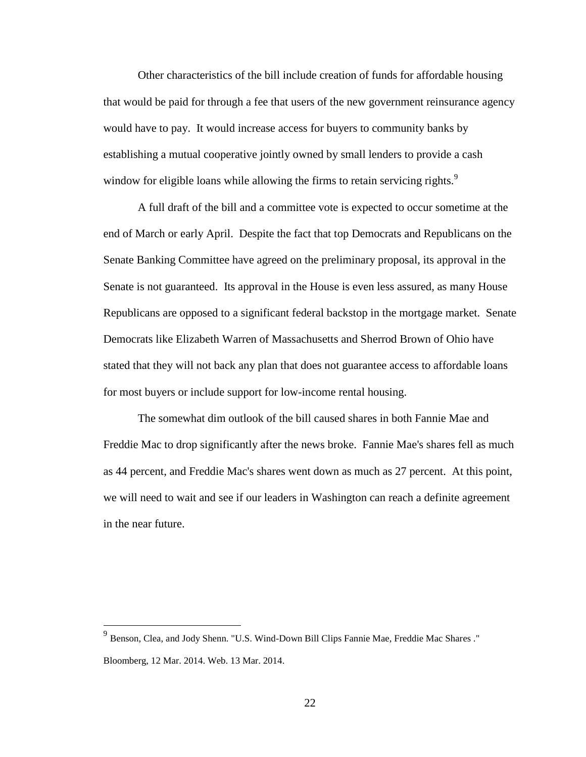Other characteristics of the bill include creation of funds for affordable housing that would be paid for through a fee that users of the new government reinsurance agency would have to pay. It would increase access for buyers to community banks by establishing a mutual cooperative jointly owned by small lenders to provide a cash window for eligible loans while allowing the firms to retain servicing rights.<sup>9</sup>

A full draft of the bill and a committee vote is expected to occur sometime at the end of March or early April. Despite the fact that top Democrats and Republicans on the Senate Banking Committee have agreed on the preliminary proposal, its approval in the Senate is not guaranteed. Its approval in the House is even less assured, as many House Republicans are opposed to a significant federal backstop in the mortgage market. Senate Democrats like Elizabeth Warren of Massachusetts and Sherrod Brown of Ohio have stated that they will not back any plan that does not guarantee access to affordable loans for most buyers or include support for low-income rental housing.

The somewhat dim outlook of the bill caused shares in both Fannie Mae and Freddie Mac to drop significantly after the news broke. Fannie Mae's shares fell as much as 44 percent, and Freddie Mac's shares went down as much as 27 percent. At this point, we will need to wait and see if our leaders in Washington can reach a definite agreement in the near future.

<sup>9</sup> Benson, Clea, and Jody Shenn. "U.S. Wind-Down Bill Clips Fannie Mae, Freddie Mac Shares ." Bloomberg, 12 Mar. 2014. Web. 13 Mar. 2014.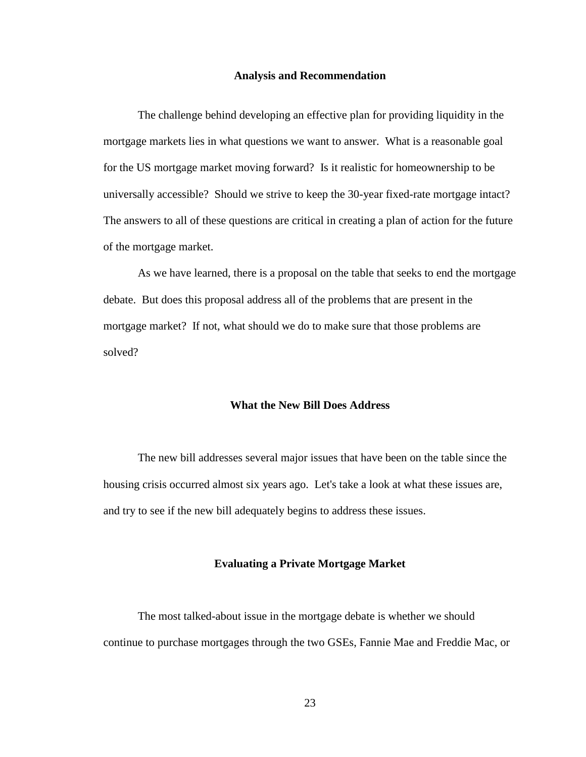#### **Analysis and Recommendation**

<span id="page-29-0"></span>The challenge behind developing an effective plan for providing liquidity in the mortgage markets lies in what questions we want to answer. What is a reasonable goal for the US mortgage market moving forward? Is it realistic for homeownership to be universally accessible? Should we strive to keep the 30-year fixed-rate mortgage intact? The answers to all of these questions are critical in creating a plan of action for the future of the mortgage market.

As we have learned, there is a proposal on the table that seeks to end the mortgage debate. But does this proposal address all of the problems that are present in the mortgage market? If not, what should we do to make sure that those problems are solved?

## **What the New Bill Does Address**

The new bill addresses several major issues that have been on the table since the housing crisis occurred almost six years ago. Let's take a look at what these issues are, and try to see if the new bill adequately begins to address these issues.

## **Evaluating a Private Mortgage Market**

The most talked-about issue in the mortgage debate is whether we should continue to purchase mortgages through the two GSEs, Fannie Mae and Freddie Mac, or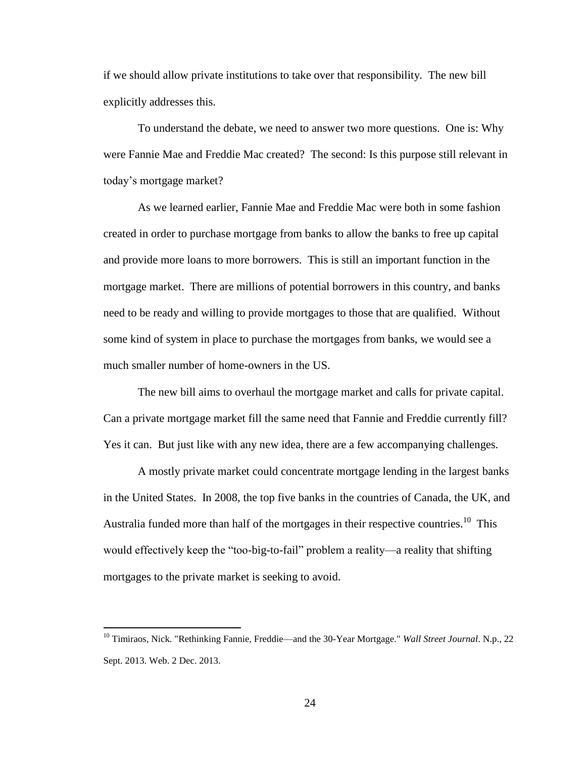if we should allow private institutions to take over that responsibility. The new bill explicitly addresses this.

To understand the debate, we need to answer two more questions. One is: Why were Fannie Mae and Freddie Mac created? The second: Is this purpose still relevant in today's mortgage market?

As we learned earlier, Fannie Mae and Freddie Mac were both in some fashion created in order to purchase mortgage from banks to allow the banks to free up capital and provide more loans to more borrowers. This is still an important function in the mortgage market. There are millions of potential borrowers in this country, and banks need to be ready and willing to provide mortgages to those that are qualified. Without some kind of system in place to purchase the mortgages from banks, we would see a much smaller number of home-owners in the US.

The new bill aims to overhaul the mortgage market and calls for private capital. Can a private mortgage market fill the same need that Fannie and Freddie currently fill? Yes it can. But just like with any new idea, there are a few accompanying challenges.

A mostly private market could concentrate mortgage lending in the largest banks in the United States. In 2008, the top five banks in the countries of Canada, the UK, and Australia funded more than half of the mortgages in their respective countries.<sup>10</sup> This would effectively keep the "too-big-to-fail" problem a reality—a reality that shifting mortgages to the private market is seeking to avoid.

<sup>10</sup> Timiraos, Nick. "Rethinking Fannie, Freddie—and the 30-Year Mortgage." *Wall Street Journal*. N.p., 22 Sept. 2013. Web. 2 Dec. 2013.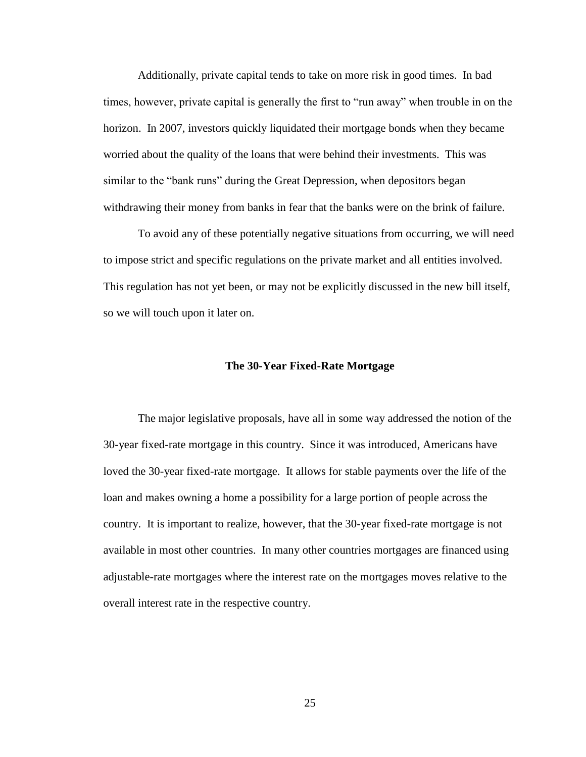Additionally, private capital tends to take on more risk in good times. In bad times, however, private capital is generally the first to "run away" when trouble in on the horizon. In 2007, investors quickly liquidated their mortgage bonds when they became worried about the quality of the loans that were behind their investments. This was similar to the "bank runs" during the Great Depression, when depositors began withdrawing their money from banks in fear that the banks were on the brink of failure.

To avoid any of these potentially negative situations from occurring, we will need to impose strict and specific regulations on the private market and all entities involved. This regulation has not yet been, or may not be explicitly discussed in the new bill itself, so we will touch upon it later on.

#### **The 30-Year Fixed-Rate Mortgage**

The major legislative proposals, have all in some way addressed the notion of the 30-year fixed-rate mortgage in this country. Since it was introduced, Americans have loved the 30-year fixed-rate mortgage. It allows for stable payments over the life of the loan and makes owning a home a possibility for a large portion of people across the country. It is important to realize, however, that the 30-year fixed-rate mortgage is not available in most other countries. In many other countries mortgages are financed using adjustable-rate mortgages where the interest rate on the mortgages moves relative to the overall interest rate in the respective country.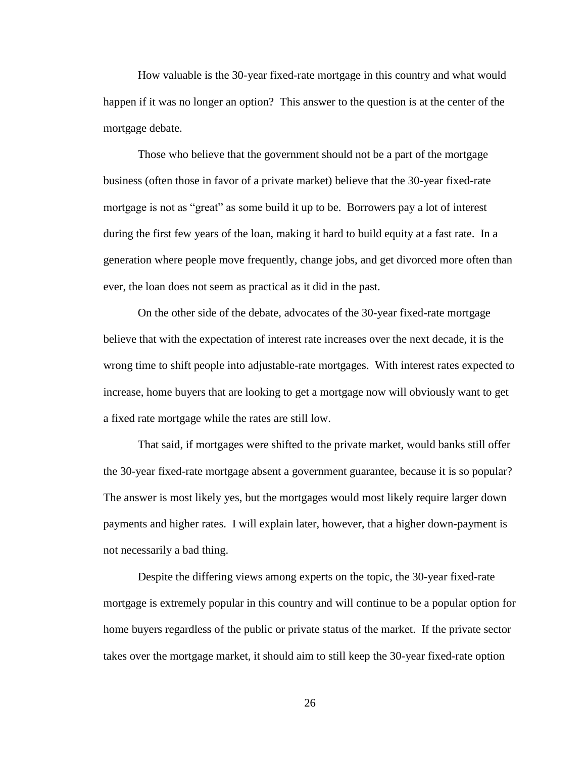How valuable is the 30-year fixed-rate mortgage in this country and what would happen if it was no longer an option? This answer to the question is at the center of the mortgage debate.

Those who believe that the government should not be a part of the mortgage business (often those in favor of a private market) believe that the 30-year fixed-rate mortgage is not as "great" as some build it up to be. Borrowers pay a lot of interest during the first few years of the loan, making it hard to build equity at a fast rate. In a generation where people move frequently, change jobs, and get divorced more often than ever, the loan does not seem as practical as it did in the past.

On the other side of the debate, advocates of the 30-year fixed-rate mortgage believe that with the expectation of interest rate increases over the next decade, it is the wrong time to shift people into adjustable-rate mortgages. With interest rates expected to increase, home buyers that are looking to get a mortgage now will obviously want to get a fixed rate mortgage while the rates are still low.

That said, if mortgages were shifted to the private market, would banks still offer the 30-year fixed-rate mortgage absent a government guarantee, because it is so popular? The answer is most likely yes, but the mortgages would most likely require larger down payments and higher rates. I will explain later, however, that a higher down-payment is not necessarily a bad thing.

Despite the differing views among experts on the topic, the 30-year fixed-rate mortgage is extremely popular in this country and will continue to be a popular option for home buyers regardless of the public or private status of the market. If the private sector takes over the mortgage market, it should aim to still keep the 30-year fixed-rate option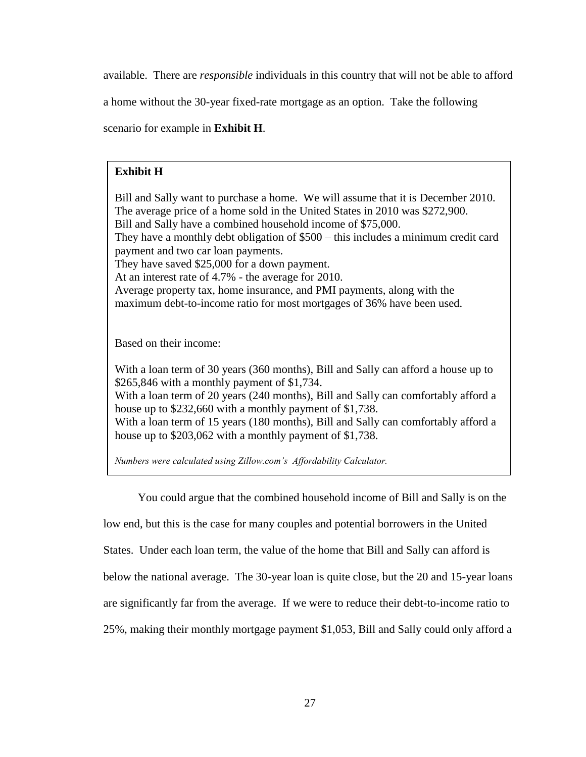available. There are *responsible* individuals in this country that will not be able to afford

a home without the 30-year fixed-rate mortgage as an option. Take the following

scenario for example in **Exhibit H**.

## **Exhibit H**

Bill and Sally want to purchase a home. We will assume that it is December 2010. The average price of a home sold in the United States in 2010 was \$272,900. Bill and Sally have a combined household income of \$75,000. They have a monthly debt obligation of \$500 – this includes a minimum credit card payment and two car loan payments. They have saved \$25,000 for a down payment. At an interest rate of 4.7% - the average for 2010. Average property tax, home insurance, and PMI payments, along with the maximum debt-to-income ratio for most mortgages of 36% have been used.

Based on their income:

With a loan term of 30 years (360 months), Bill and Sally can afford a house up to \$265,846 with a monthly payment of \$1,734.

With a loan term of 20 years (240 months), Bill and Sally can comfortably afford a house up to \$232,660 with a monthly payment of \$1,738.

With a loan term of 15 years (180 months), Bill and Sally can comfortably afford a house up to \$203,062 with a monthly payment of \$1,738.

*Numbers were calculated using Zillow.com's Affordability Calculator.*

You could argue that the combined household income of Bill and Sally is on the

low end, but this is the case for many couples and potential borrowers in the United

States. Under each loan term, the value of the home that Bill and Sally can afford is

below the national average. The 30-year loan is quite close, but the 20 and 15-year loans

are significantly far from the average. If we were to reduce their debt-to-income ratio to

25%, making their monthly mortgage payment \$1,053, Bill and Sally could only afford a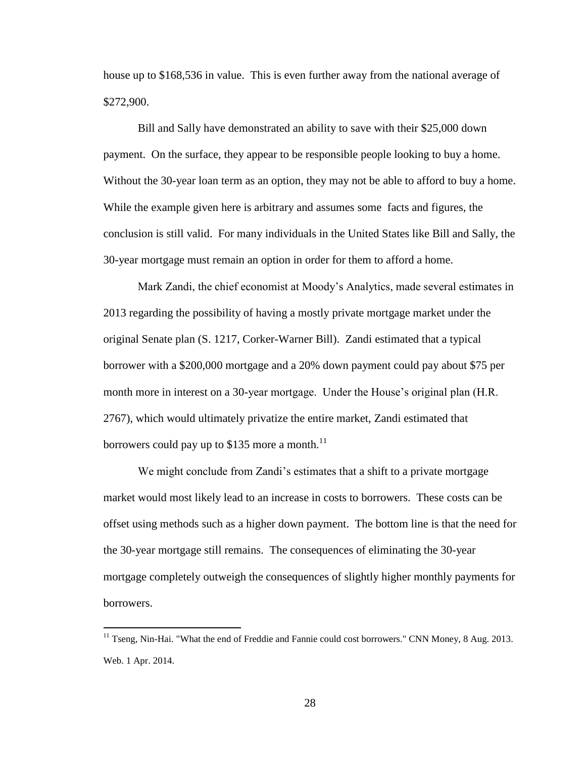house up to \$168,536 in value. This is even further away from the national average of \$272,900.

Bill and Sally have demonstrated an ability to save with their \$25,000 down payment. On the surface, they appear to be responsible people looking to buy a home. Without the 30-year loan term as an option, they may not be able to afford to buy a home. While the example given here is arbitrary and assumes some facts and figures, the conclusion is still valid. For many individuals in the United States like Bill and Sally, the 30-year mortgage must remain an option in order for them to afford a home.

Mark Zandi, the chief economist at Moody's Analytics, made several estimates in 2013 regarding the possibility of having a mostly private mortgage market under the original Senate plan (S. 1217, Corker-Warner Bill). Zandi estimated that a typical borrower with a \$200,000 mortgage and a 20% down payment could pay about \$75 per month more in interest on a 30-year mortgage. Under the House's original plan (H.R. 2767), which would ultimately privatize the entire market, Zandi estimated that borrowers could pay up to \$135 more a month.<sup>11</sup>

We might conclude from Zandi's estimates that a shift to a private mortgage market would most likely lead to an increase in costs to borrowers. These costs can be offset using methods such as a higher down payment. The bottom line is that the need for the 30-year mortgage still remains. The consequences of eliminating the 30-year mortgage completely outweigh the consequences of slightly higher monthly payments for borrowers.

<sup>&</sup>lt;sup>11</sup> Tseng, Nin-Hai. "What the end of Freddie and Fannie could cost borrowers." CNN Money, 8 Aug. 2013. Web. 1 Apr. 2014.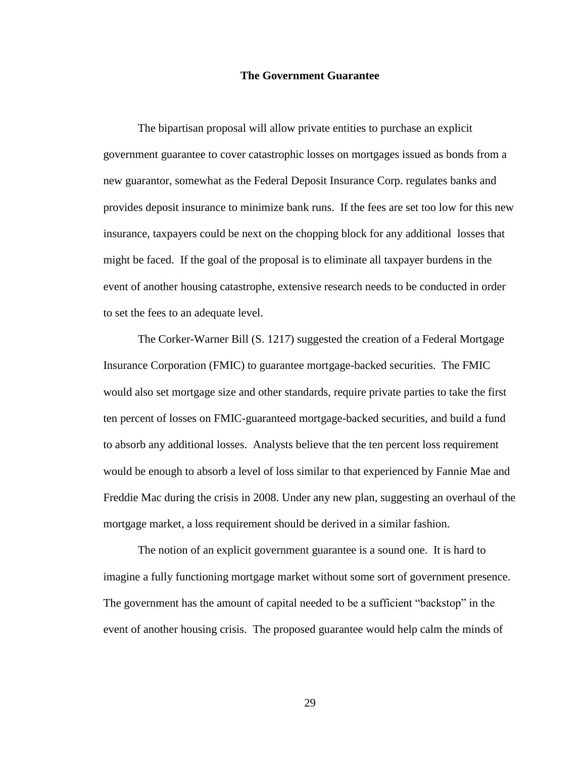## **The Government Guarantee**

The bipartisan proposal will allow private entities to purchase an explicit government guarantee to cover catastrophic losses on mortgages issued as bonds from a new guarantor, somewhat as the Federal Deposit Insurance Corp. regulates banks and provides deposit insurance to minimize bank runs. If the fees are set too low for this new insurance, taxpayers could be next on the chopping block for any additional losses that might be faced. If the goal of the proposal is to eliminate all taxpayer burdens in the event of another housing catastrophe, extensive research needs to be conducted in order to set the fees to an adequate level.

The Corker-Warner Bill (S. 1217) suggested the creation of a Federal Mortgage Insurance Corporation (FMIC) to guarantee mortgage-backed securities. The FMIC would also set mortgage size and other standards, require private parties to take the first ten percent of losses on FMIC-guaranteed mortgage-backed securities, and build a fund to absorb any additional losses. Analysts believe that the ten percent loss requirement would be enough to absorb a level of loss similar to that experienced by Fannie Mae and Freddie Mac during the crisis in 2008. Under any new plan, suggesting an overhaul of the mortgage market, a loss requirement should be derived in a similar fashion.

The notion of an explicit government guarantee is a sound one. It is hard to imagine a fully functioning mortgage market without some sort of government presence. The government has the amount of capital needed to be a sufficient "backstop" in the event of another housing crisis. The proposed guarantee would help calm the minds of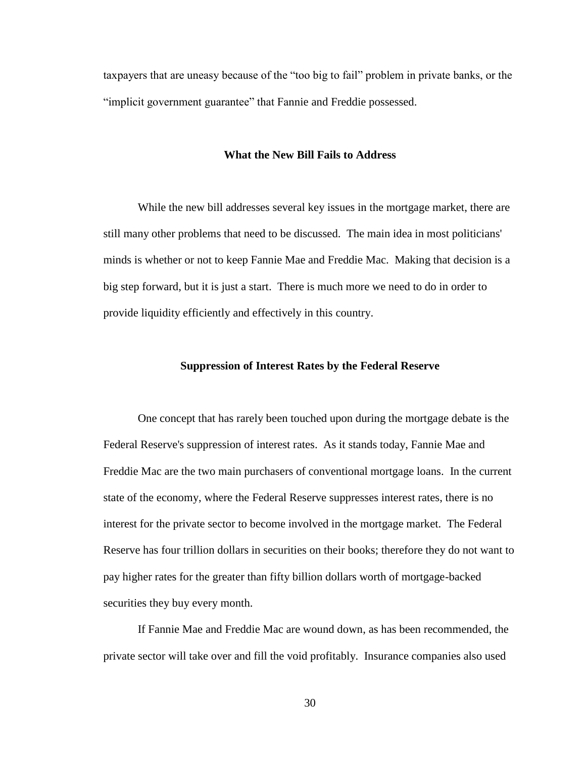taxpayers that are uneasy because of the "too big to fail" problem in private banks, or the "implicit government guarantee" that Fannie and Freddie possessed.

### **What the New Bill Fails to Address**

While the new bill addresses several key issues in the mortgage market, there are still many other problems that need to be discussed. The main idea in most politicians' minds is whether or not to keep Fannie Mae and Freddie Mac. Making that decision is a big step forward, but it is just a start. There is much more we need to do in order to provide liquidity efficiently and effectively in this country.

#### **Suppression of Interest Rates by the Federal Reserve**

One concept that has rarely been touched upon during the mortgage debate is the Federal Reserve's suppression of interest rates. As it stands today, Fannie Mae and Freddie Mac are the two main purchasers of conventional mortgage loans. In the current state of the economy, where the Federal Reserve suppresses interest rates, there is no interest for the private sector to become involved in the mortgage market. The Federal Reserve has four trillion dollars in securities on their books; therefore they do not want to pay higher rates for the greater than fifty billion dollars worth of mortgage-backed securities they buy every month.

If Fannie Mae and Freddie Mac are wound down, as has been recommended, the private sector will take over and fill the void profitably. Insurance companies also used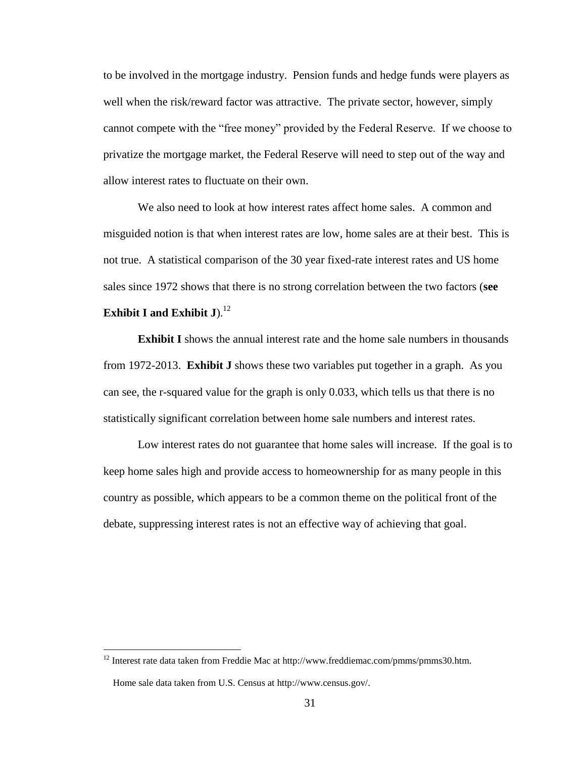to be involved in the mortgage industry. Pension funds and hedge funds were players as well when the risk/reward factor was attractive. The private sector, however, simply cannot compete with the "free money" provided by the Federal Reserve. If we choose to privatize the mortgage market, the Federal Reserve will need to step out of the way and allow interest rates to fluctuate on their own.

We also need to look at how interest rates affect home sales. A common and misguided notion is that when interest rates are low, home sales are at their best. This is not true. A statistical comparison of the 30 year fixed-rate interest rates and US home sales since 1972 shows that there is no strong correlation between the two factors (**see Exhibit I and Exhibit J**). 12

**Exhibit I** shows the annual interest rate and the home sale numbers in thousands from 1972-2013. **Exhibit J** shows these two variables put together in a graph. As you can see, the r-squared value for the graph is only 0.033, which tells us that there is no statistically significant correlation between home sale numbers and interest rates.

Low interest rates do not guarantee that home sales will increase. If the goal is to keep home sales high and provide access to homeownership for as many people in this country as possible, which appears to be a common theme on the political front of the debate, suppressing interest rates is not an effective way of achieving that goal.

<sup>&</sup>lt;sup>12</sup> Interest rate data taken from Freddie Mac at [http://www.freddiemac.com/pmms/pmms30.htm.](http://www.freddiemac.com/pmms/pmms30.htm)

Home sale data taken from U.S. Census at http://www.census.gov/.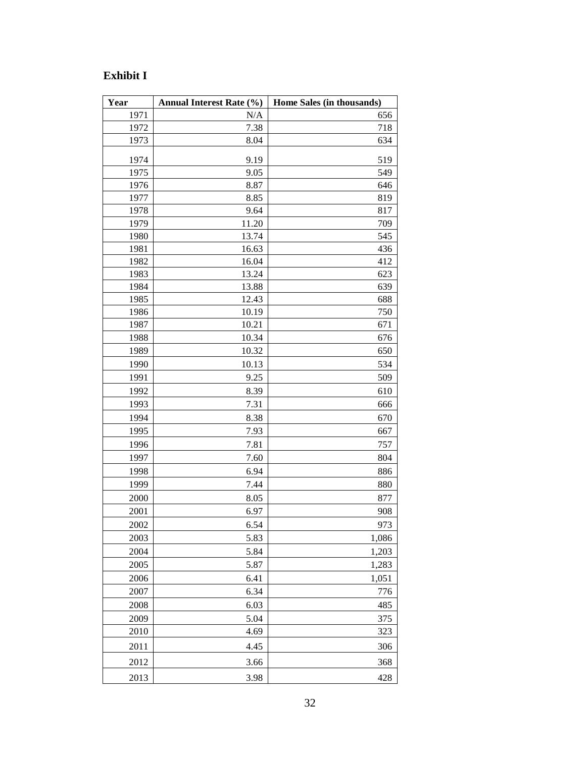# **Exhibit I**

| Year | Annual Interest Rate (%) | Home Sales (in thousands) |
|------|--------------------------|---------------------------|
| 1971 | N/A                      | 656                       |
| 1972 | 7.38                     | 718                       |
| 1973 | 8.04                     | 634                       |
| 1974 | 9.19                     | 519                       |
| 1975 | 9.05                     | 549                       |
| 1976 | 8.87                     | 646                       |
| 1977 | 8.85                     | 819                       |
| 1978 | 9.64                     | 817                       |
| 1979 | 11.20                    | 709                       |
| 1980 | 13.74                    | 545                       |
| 1981 | 16.63                    | 436                       |
| 1982 | 16.04                    | 412                       |
| 1983 | 13.24                    | 623                       |
| 1984 | 13.88                    | 639                       |
| 1985 | 12.43                    | 688                       |
| 1986 | 10.19                    | 750                       |
| 1987 | 10.21                    | 671                       |
| 1988 | 10.34                    | 676                       |
| 1989 | 10.32                    | 650                       |
| 1990 | 10.13                    | 534                       |
| 1991 | 9.25                     | 509                       |
| 1992 | 8.39                     | 610                       |
| 1993 | 7.31                     | 666                       |
| 1994 | 8.38                     | 670                       |
| 1995 | 7.93                     | 667                       |
| 1996 | 7.81                     | 757                       |
| 1997 | 7.60                     | 804                       |
| 1998 | 6.94                     | 886                       |
| 1999 | 7.44                     | 880                       |
| 2000 | 8.05                     | 877                       |
| 2001 | 6.97                     | 908                       |
| 2002 | 6.54                     | 973                       |
| 2003 | 5.83                     | 1,086                     |
| 2004 | 5.84                     | 1,203                     |
| 2005 | 5.87                     | 1,283                     |
| 2006 | 6.41                     | 1,051                     |
| 2007 | 6.34                     | 776                       |
| 2008 | 6.03                     | 485                       |
| 2009 | 5.04                     | 375                       |
| 2010 | 4.69                     | 323                       |
| 2011 | 4.45                     | 306                       |
| 2012 | 3.66                     | 368                       |
|      |                          |                           |
| 2013 | 3.98                     | 428                       |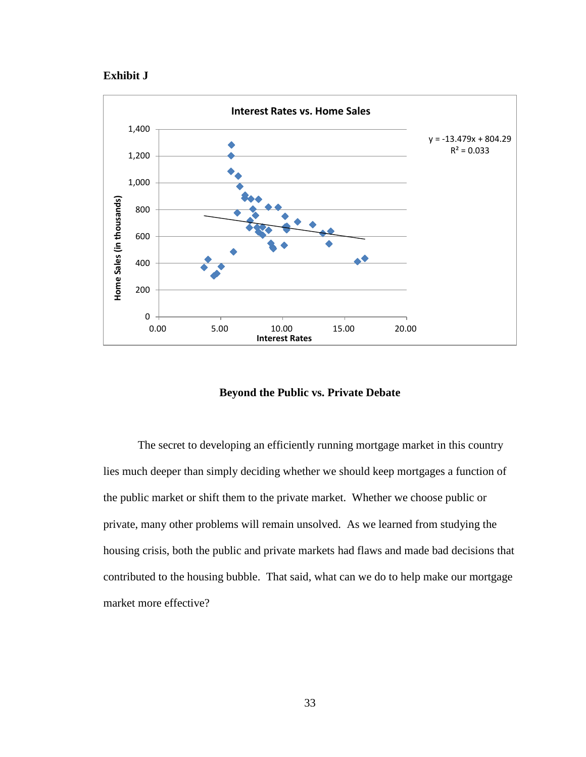## **Exhibit J**



## **Beyond the Public vs. Private Debate**

The secret to developing an efficiently running mortgage market in this country lies much deeper than simply deciding whether we should keep mortgages a function of the public market or shift them to the private market. Whether we choose public or private, many other problems will remain unsolved. As we learned from studying the housing crisis, both the public and private markets had flaws and made bad decisions that contributed to the housing bubble. That said, what can we do to help make our mortgage market more effective?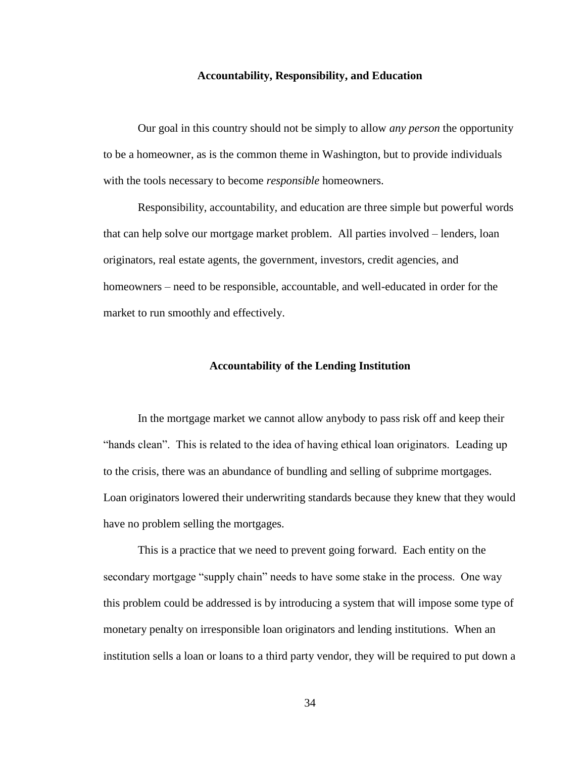#### **Accountability, Responsibility, and Education**

Our goal in this country should not be simply to allow *any person* the opportunity to be a homeowner, as is the common theme in Washington, but to provide individuals with the tools necessary to become *responsible* homeowners.

Responsibility, accountability, and education are three simple but powerful words that can help solve our mortgage market problem. All parties involved – lenders, loan originators, real estate agents, the government, investors, credit agencies, and homeowners – need to be responsible, accountable, and well-educated in order for the market to run smoothly and effectively.

#### **Accountability of the Lending Institution**

In the mortgage market we cannot allow anybody to pass risk off and keep their "hands clean". This is related to the idea of having ethical loan originators. Leading up to the crisis, there was an abundance of bundling and selling of subprime mortgages. Loan originators lowered their underwriting standards because they knew that they would have no problem selling the mortgages.

This is a practice that we need to prevent going forward. Each entity on the secondary mortgage "supply chain" needs to have some stake in the process. One way this problem could be addressed is by introducing a system that will impose some type of monetary penalty on irresponsible loan originators and lending institutions. When an institution sells a loan or loans to a third party vendor, they will be required to put down a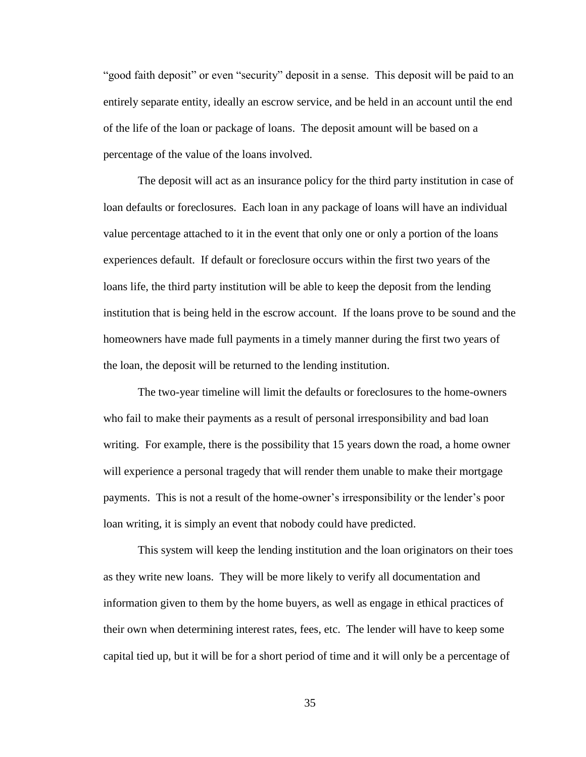"good faith deposit" or even "security" deposit in a sense. This deposit will be paid to an entirely separate entity, ideally an escrow service, and be held in an account until the end of the life of the loan or package of loans. The deposit amount will be based on a percentage of the value of the loans involved.

The deposit will act as an insurance policy for the third party institution in case of loan defaults or foreclosures. Each loan in any package of loans will have an individual value percentage attached to it in the event that only one or only a portion of the loans experiences default. If default or foreclosure occurs within the first two years of the loans life, the third party institution will be able to keep the deposit from the lending institution that is being held in the escrow account. If the loans prove to be sound and the homeowners have made full payments in a timely manner during the first two years of the loan, the deposit will be returned to the lending institution.

The two-year timeline will limit the defaults or foreclosures to the home-owners who fail to make their payments as a result of personal irresponsibility and bad loan writing. For example, there is the possibility that 15 years down the road, a home owner will experience a personal tragedy that will render them unable to make their mortgage payments. This is not a result of the home-owner's irresponsibility or the lender's poor loan writing, it is simply an event that nobody could have predicted.

This system will keep the lending institution and the loan originators on their toes as they write new loans. They will be more likely to verify all documentation and information given to them by the home buyers, as well as engage in ethical practices of their own when determining interest rates, fees, etc. The lender will have to keep some capital tied up, but it will be for a short period of time and it will only be a percentage of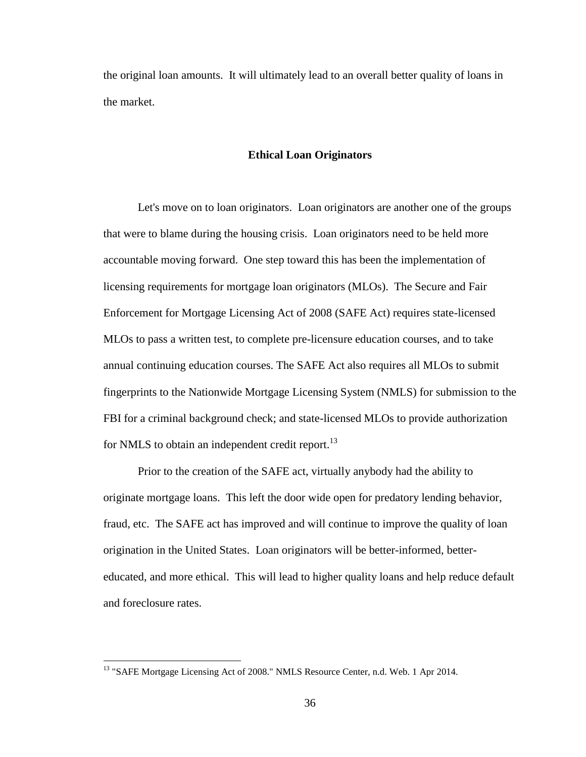the original loan amounts. It will ultimately lead to an overall better quality of loans in the market.

### **Ethical Loan Originators**

Let's move on to loan originators. Loan originators are another one of the groups that were to blame during the housing crisis. Loan originators need to be held more accountable moving forward. One step toward this has been the implementation of licensing requirements for mortgage loan originators (MLOs). The Secure and Fair Enforcement for Mortgage Licensing Act of 2008 (SAFE Act) requires state-licensed MLOs to pass a written test, to complete pre-licensure education courses, and to take annual continuing education courses. The SAFE Act also requires all MLOs to submit fingerprints to the Nationwide Mortgage Licensing System (NMLS) for submission to the FBI for a criminal background check; and state-licensed MLOs to provide authorization for NMLS to obtain an independent credit report.<sup>13</sup>

Prior to the creation of the SAFE act, virtually anybody had the ability to originate mortgage loans. This left the door wide open for predatory lending behavior, fraud, etc. The SAFE act has improved and will continue to improve the quality of loan origination in the United States. Loan originators will be better-informed, bettereducated, and more ethical. This will lead to higher quality loans and help reduce default and foreclosure rates.

<sup>&</sup>lt;sup>13</sup> "SAFE Mortgage Licensing Act of 2008." NMLS Resource Center, n.d. Web. 1 Apr 2014.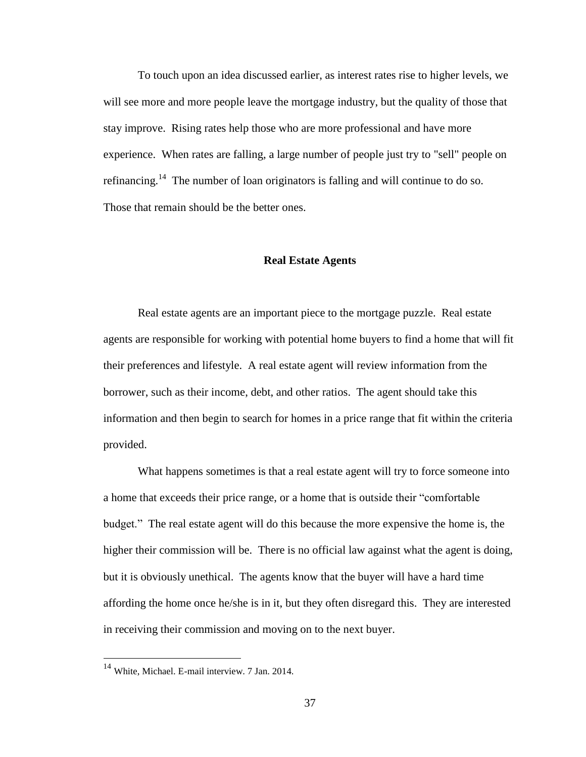To touch upon an idea discussed earlier, as interest rates rise to higher levels, we will see more and more people leave the mortgage industry, but the quality of those that stay improve. Rising rates help those who are more professional and have more experience. When rates are falling, a large number of people just try to "sell" people on refinancing.<sup>14</sup> The number of loan originators is falling and will continue to do so. Those that remain should be the better ones.

### **Real Estate Agents**

Real estate agents are an important piece to the mortgage puzzle. Real estate agents are responsible for working with potential home buyers to find a home that will fit their preferences and lifestyle. A real estate agent will review information from the borrower, such as their income, debt, and other ratios. The agent should take this information and then begin to search for homes in a price range that fit within the criteria provided.

What happens sometimes is that a real estate agent will try to force someone into a home that exceeds their price range, or a home that is outside their "comfortable budget." The real estate agent will do this because the more expensive the home is, the higher their commission will be. There is no official law against what the agent is doing, but it is obviously unethical. The agents know that the buyer will have a hard time affording the home once he/she is in it, but they often disregard this. They are interested in receiving their commission and moving on to the next buyer.

<sup>&</sup>lt;sup>14</sup> White, Michael. E-mail interview. 7 Jan. 2014.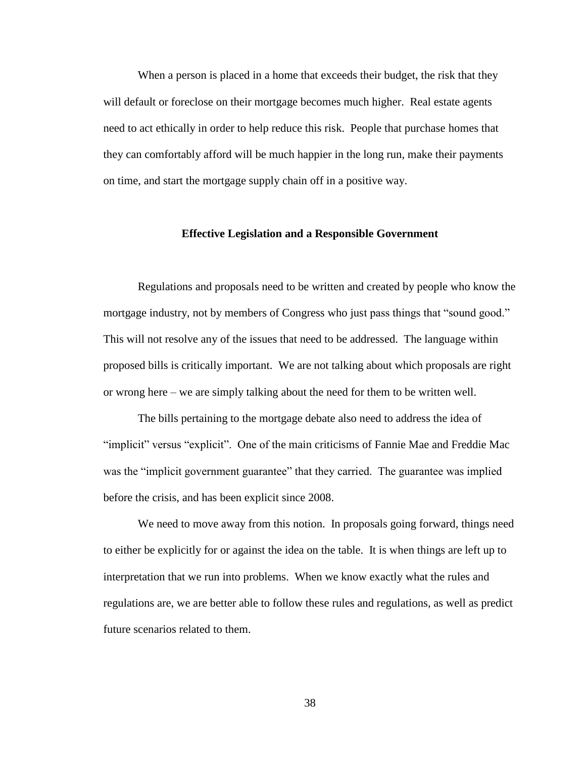When a person is placed in a home that exceeds their budget, the risk that they will default or foreclose on their mortgage becomes much higher. Real estate agents need to act ethically in order to help reduce this risk. People that purchase homes that they can comfortably afford will be much happier in the long run, make their payments on time, and start the mortgage supply chain off in a positive way.

#### **Effective Legislation and a Responsible Government**

Regulations and proposals need to be written and created by people who know the mortgage industry, not by members of Congress who just pass things that "sound good." This will not resolve any of the issues that need to be addressed. The language within proposed bills is critically important. We are not talking about which proposals are right or wrong here – we are simply talking about the need for them to be written well.

The bills pertaining to the mortgage debate also need to address the idea of "implicit" versus "explicit". One of the main criticisms of Fannie Mae and Freddie Mac was the "implicit government guarantee" that they carried. The guarantee was implied before the crisis, and has been explicit since 2008.

We need to move away from this notion. In proposals going forward, things need to either be explicitly for or against the idea on the table. It is when things are left up to interpretation that we run into problems. When we know exactly what the rules and regulations are, we are better able to follow these rules and regulations, as well as predict future scenarios related to them.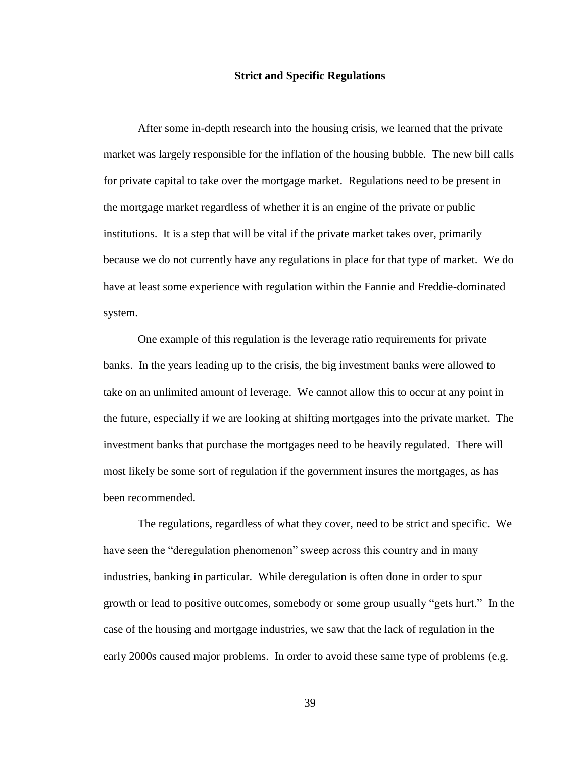#### **Strict and Specific Regulations**

After some in-depth research into the housing crisis, we learned that the private market was largely responsible for the inflation of the housing bubble. The new bill calls for private capital to take over the mortgage market. Regulations need to be present in the mortgage market regardless of whether it is an engine of the private or public institutions. It is a step that will be vital if the private market takes over, primarily because we do not currently have any regulations in place for that type of market. We do have at least some experience with regulation within the Fannie and Freddie-dominated system.

One example of this regulation is the leverage ratio requirements for private banks. In the years leading up to the crisis, the big investment banks were allowed to take on an unlimited amount of leverage. We cannot allow this to occur at any point in the future, especially if we are looking at shifting mortgages into the private market. The investment banks that purchase the mortgages need to be heavily regulated. There will most likely be some sort of regulation if the government insures the mortgages, as has been recommended.

The regulations, regardless of what they cover, need to be strict and specific. We have seen the "deregulation phenomenon" sweep across this country and in many industries, banking in particular. While deregulation is often done in order to spur growth or lead to positive outcomes, somebody or some group usually "gets hurt." In the case of the housing and mortgage industries, we saw that the lack of regulation in the early 2000s caused major problems. In order to avoid these same type of problems (e.g.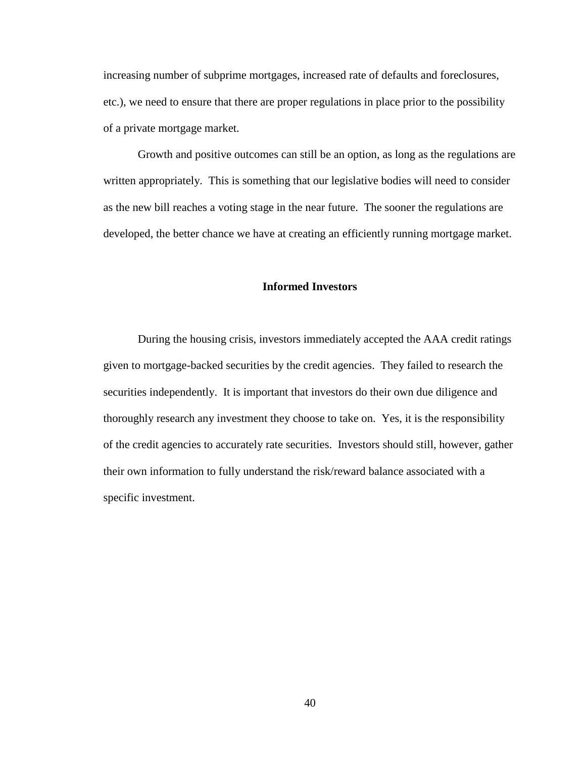increasing number of subprime mortgages, increased rate of defaults and foreclosures, etc.), we need to ensure that there are proper regulations in place prior to the possibility of a private mortgage market.

Growth and positive outcomes can still be an option, as long as the regulations are written appropriately. This is something that our legislative bodies will need to consider as the new bill reaches a voting stage in the near future. The sooner the regulations are developed, the better chance we have at creating an efficiently running mortgage market.

## **Informed Investors**

During the housing crisis, investors immediately accepted the AAA credit ratings given to mortgage-backed securities by the credit agencies. They failed to research the securities independently. It is important that investors do their own due diligence and thoroughly research any investment they choose to take on. Yes, it is the responsibility of the credit agencies to accurately rate securities. Investors should still, however, gather their own information to fully understand the risk/reward balance associated with a specific investment.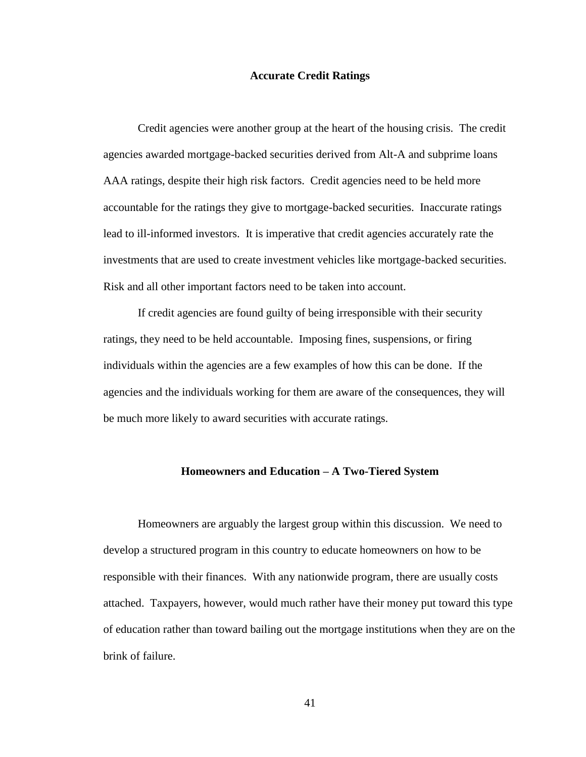#### **Accurate Credit Ratings**

Credit agencies were another group at the heart of the housing crisis. The credit agencies awarded mortgage-backed securities derived from Alt-A and subprime loans AAA ratings, despite their high risk factors. Credit agencies need to be held more accountable for the ratings they give to mortgage-backed securities. Inaccurate ratings lead to ill-informed investors. It is imperative that credit agencies accurately rate the investments that are used to create investment vehicles like mortgage-backed securities. Risk and all other important factors need to be taken into account.

If credit agencies are found guilty of being irresponsible with their security ratings, they need to be held accountable. Imposing fines, suspensions, or firing individuals within the agencies are a few examples of how this can be done. If the agencies and the individuals working for them are aware of the consequences, they will be much more likely to award securities with accurate ratings.

### **Homeowners and Education – A Two-Tiered System**

Homeowners are arguably the largest group within this discussion. We need to develop a structured program in this country to educate homeowners on how to be responsible with their finances. With any nationwide program, there are usually costs attached. Taxpayers, however, would much rather have their money put toward this type of education rather than toward bailing out the mortgage institutions when they are on the brink of failure.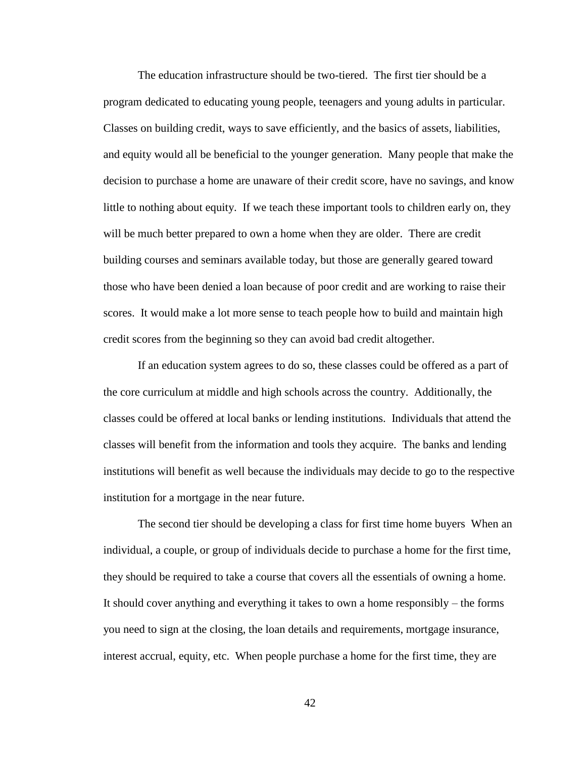The education infrastructure should be two-tiered. The first tier should be a program dedicated to educating young people, teenagers and young adults in particular. Classes on building credit, ways to save efficiently, and the basics of assets, liabilities, and equity would all be beneficial to the younger generation. Many people that make the decision to purchase a home are unaware of their credit score, have no savings, and know little to nothing about equity. If we teach these important tools to children early on, they will be much better prepared to own a home when they are older. There are credit building courses and seminars available today, but those are generally geared toward those who have been denied a loan because of poor credit and are working to raise their scores. It would make a lot more sense to teach people how to build and maintain high credit scores from the beginning so they can avoid bad credit altogether.

If an education system agrees to do so, these classes could be offered as a part of the core curriculum at middle and high schools across the country. Additionally, the classes could be offered at local banks or lending institutions. Individuals that attend the classes will benefit from the information and tools they acquire. The banks and lending institutions will benefit as well because the individuals may decide to go to the respective institution for a mortgage in the near future.

The second tier should be developing a class for first time home buyers When an individual, a couple, or group of individuals decide to purchase a home for the first time, they should be required to take a course that covers all the essentials of owning a home. It should cover anything and everything it takes to own a home responsibly – the forms you need to sign at the closing, the loan details and requirements, mortgage insurance, interest accrual, equity, etc. When people purchase a home for the first time, they are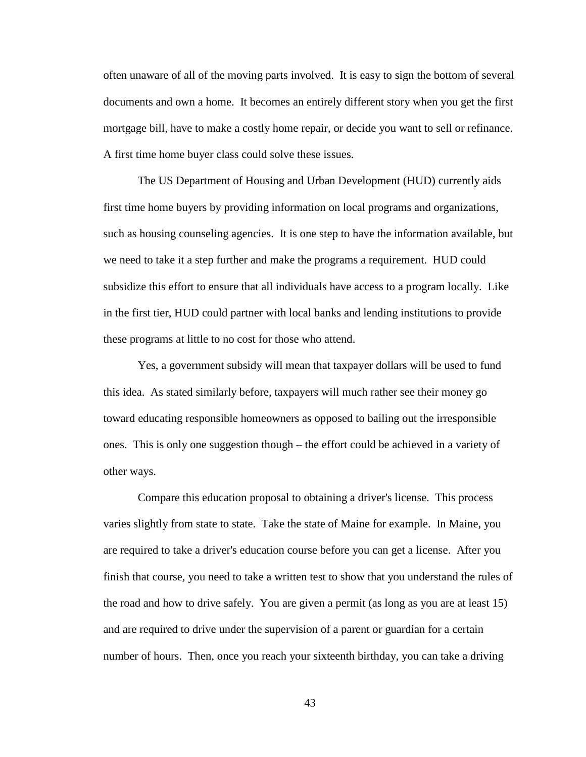often unaware of all of the moving parts involved. It is easy to sign the bottom of several documents and own a home. It becomes an entirely different story when you get the first mortgage bill, have to make a costly home repair, or decide you want to sell or refinance. A first time home buyer class could solve these issues.

The US Department of Housing and Urban Development (HUD) currently aids first time home buyers by providing information on local programs and organizations, such as housing counseling agencies. It is one step to have the information available, but we need to take it a step further and make the programs a requirement. HUD could subsidize this effort to ensure that all individuals have access to a program locally. Like in the first tier, HUD could partner with local banks and lending institutions to provide these programs at little to no cost for those who attend.

Yes, a government subsidy will mean that taxpayer dollars will be used to fund this idea. As stated similarly before, taxpayers will much rather see their money go toward educating responsible homeowners as opposed to bailing out the irresponsible ones. This is only one suggestion though – the effort could be achieved in a variety of other ways.

Compare this education proposal to obtaining a driver's license. This process varies slightly from state to state. Take the state of Maine for example. In Maine, you are required to take a driver's education course before you can get a license. After you finish that course, you need to take a written test to show that you understand the rules of the road and how to drive safely. You are given a permit (as long as you are at least 15) and are required to drive under the supervision of a parent or guardian for a certain number of hours. Then, once you reach your sixteenth birthday, you can take a driving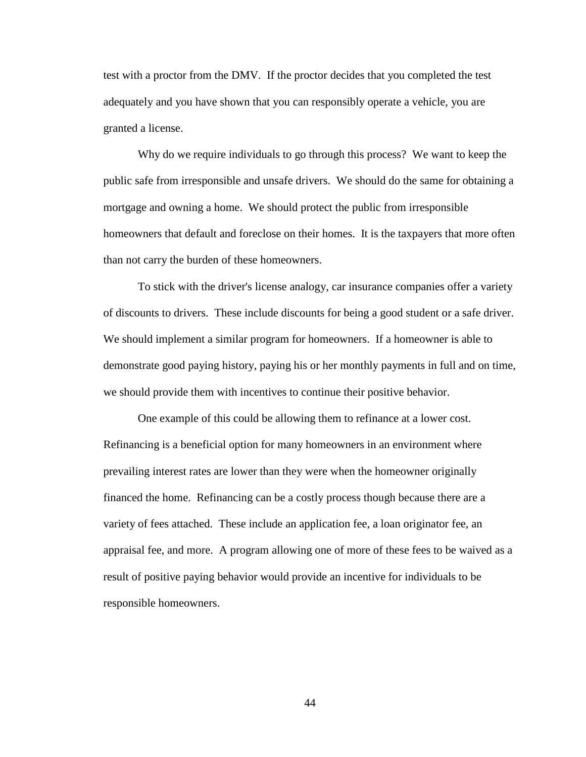test with a proctor from the DMV. If the proctor decides that you completed the test adequately and you have shown that you can responsibly operate a vehicle, you are granted a license.

Why do we require individuals to go through this process? We want to keep the public safe from irresponsible and unsafe drivers. We should do the same for obtaining a mortgage and owning a home. We should protect the public from irresponsible homeowners that default and foreclose on their homes. It is the taxpayers that more often than not carry the burden of these homeowners.

To stick with the driver's license analogy, car insurance companies offer a variety of discounts to drivers. These include discounts for being a good student or a safe driver. We should implement a similar program for homeowners. If a homeowner is able to demonstrate good paying history, paying his or her monthly payments in full and on time, we should provide them with incentives to continue their positive behavior.

One example of this could be allowing them to refinance at a lower cost. Refinancing is a beneficial option for many homeowners in an environment where prevailing interest rates are lower than they were when the homeowner originally financed the home. Refinancing can be a costly process though because there are a variety of fees attached. These include an application fee, a loan originator fee, an appraisal fee, and more. A program allowing one of more of these fees to be waived as a result of positive paying behavior would provide an incentive for individuals to be responsible homeowners.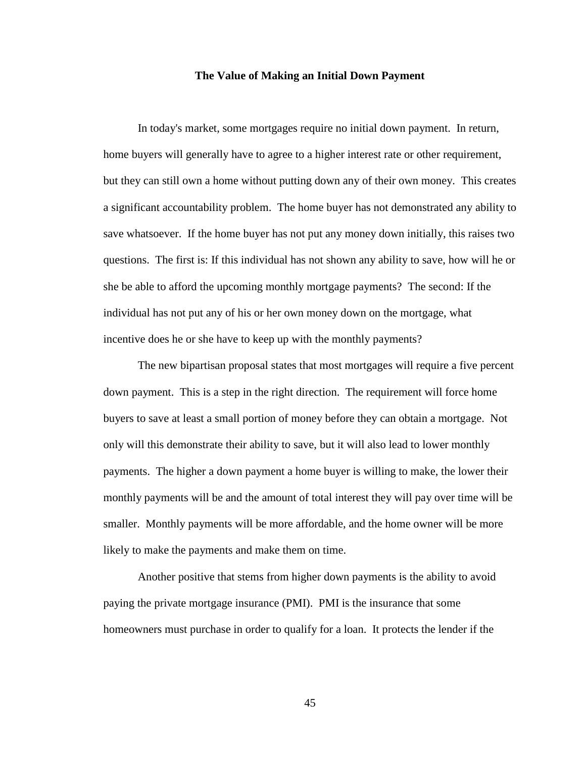#### **The Value of Making an Initial Down Payment**

In today's market, some mortgages require no initial down payment. In return, home buyers will generally have to agree to a higher interest rate or other requirement, but they can still own a home without putting down any of their own money. This creates a significant accountability problem. The home buyer has not demonstrated any ability to save whatsoever. If the home buyer has not put any money down initially, this raises two questions. The first is: If this individual has not shown any ability to save, how will he or she be able to afford the upcoming monthly mortgage payments? The second: If the individual has not put any of his or her own money down on the mortgage, what incentive does he or she have to keep up with the monthly payments?

The new bipartisan proposal states that most mortgages will require a five percent down payment. This is a step in the right direction. The requirement will force home buyers to save at least a small portion of money before they can obtain a mortgage. Not only will this demonstrate their ability to save, but it will also lead to lower monthly payments. The higher a down payment a home buyer is willing to make, the lower their monthly payments will be and the amount of total interest they will pay over time will be smaller. Monthly payments will be more affordable, and the home owner will be more likely to make the payments and make them on time.

Another positive that stems from higher down payments is the ability to avoid paying the private mortgage insurance (PMI). PMI is the insurance that some homeowners must purchase in order to qualify for a loan. It protects the lender if the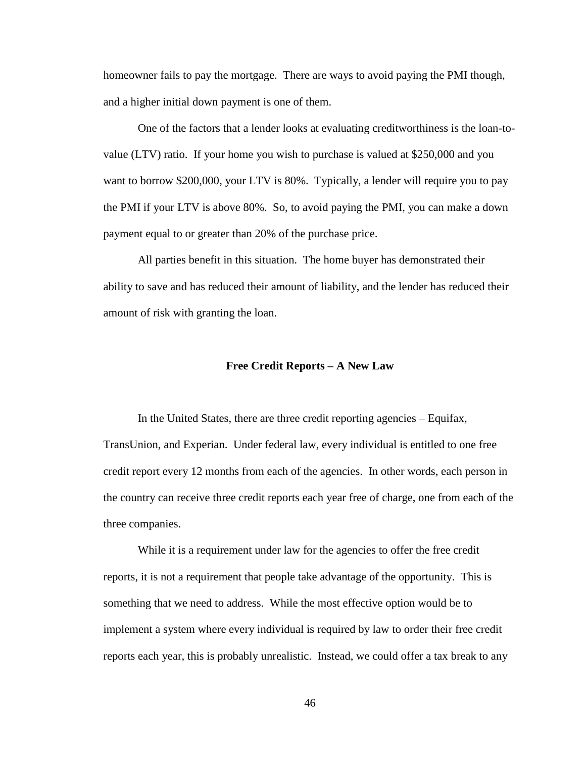homeowner fails to pay the mortgage. There are ways to avoid paying the PMI though, and a higher initial down payment is one of them.

One of the factors that a lender looks at evaluating creditworthiness is the loan-tovalue (LTV) ratio. If your home you wish to purchase is valued at \$250,000 and you want to borrow \$200,000, your LTV is 80%. Typically, a lender will require you to pay the PMI if your LTV is above 80%. So, to avoid paying the PMI, you can make a down payment equal to or greater than 20% of the purchase price.

All parties benefit in this situation. The home buyer has demonstrated their ability to save and has reduced their amount of liability, and the lender has reduced their amount of risk with granting the loan.

#### **Free Credit Reports – A New Law**

In the United States, there are three credit reporting agencies – Equifax, TransUnion, and Experian. Under federal law, every individual is entitled to one free credit report every 12 months from each of the agencies. In other words, each person in the country can receive three credit reports each year free of charge, one from each of the three companies.

While it is a requirement under law for the agencies to offer the free credit reports, it is not a requirement that people take advantage of the opportunity. This is something that we need to address. While the most effective option would be to implement a system where every individual is required by law to order their free credit reports each year, this is probably unrealistic. Instead, we could offer a tax break to any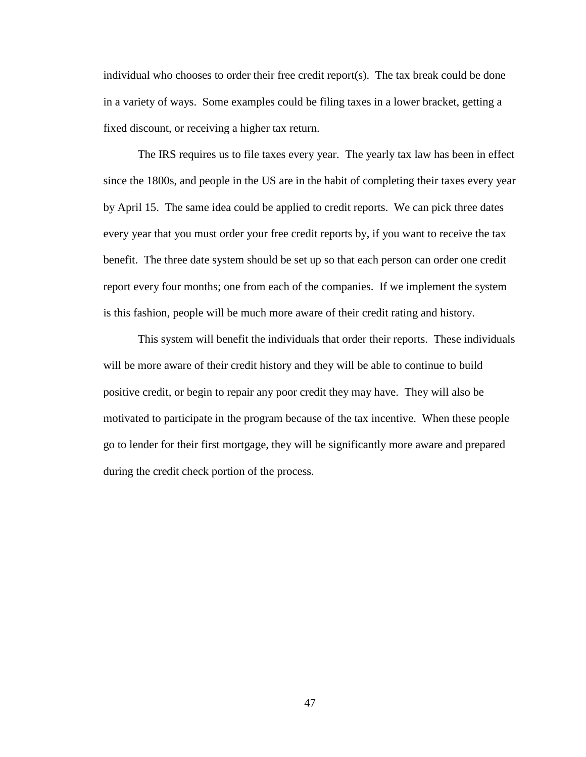individual who chooses to order their free credit report(s). The tax break could be done in a variety of ways. Some examples could be filing taxes in a lower bracket, getting a fixed discount, or receiving a higher tax return.

The IRS requires us to file taxes every year. The yearly tax law has been in effect since the 1800s, and people in the US are in the habit of completing their taxes every year by April 15. The same idea could be applied to credit reports. We can pick three dates every year that you must order your free credit reports by, if you want to receive the tax benefit. The three date system should be set up so that each person can order one credit report every four months; one from each of the companies. If we implement the system is this fashion, people will be much more aware of their credit rating and history.

<span id="page-53-0"></span>This system will benefit the individuals that order their reports. These individuals will be more aware of their credit history and they will be able to continue to build positive credit, or begin to repair any poor credit they may have. They will also be motivated to participate in the program because of the tax incentive. When these people go to lender for their first mortgage, they will be significantly more aware and prepared during the credit check portion of the process.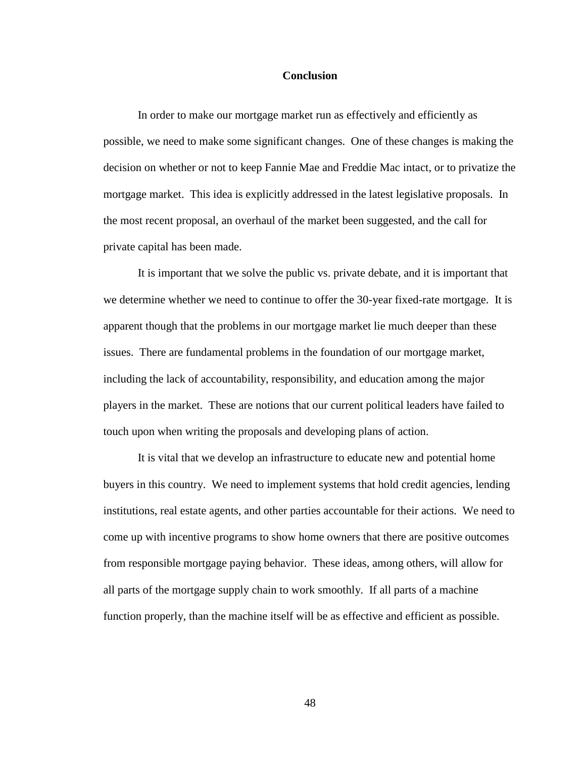### **Conclusion**

In order to make our mortgage market run as effectively and efficiently as possible, we need to make some significant changes. One of these changes is making the decision on whether or not to keep Fannie Mae and Freddie Mac intact, or to privatize the mortgage market. This idea is explicitly addressed in the latest legislative proposals. In the most recent proposal, an overhaul of the market been suggested, and the call for private capital has been made.

It is important that we solve the public vs. private debate, and it is important that we determine whether we need to continue to offer the 30-year fixed-rate mortgage. It is apparent though that the problems in our mortgage market lie much deeper than these issues. There are fundamental problems in the foundation of our mortgage market, including the lack of accountability, responsibility, and education among the major players in the market. These are notions that our current political leaders have failed to touch upon when writing the proposals and developing plans of action.

<span id="page-54-0"></span>It is vital that we develop an infrastructure to educate new and potential home buyers in this country. We need to implement systems that hold credit agencies, lending institutions, real estate agents, and other parties accountable for their actions. We need to come up with incentive programs to show home owners that there are positive outcomes from responsible mortgage paying behavior. These ideas, among others, will allow for all parts of the mortgage supply chain to work smoothly. If all parts of a machine function properly, than the machine itself will be as effective and efficient as possible.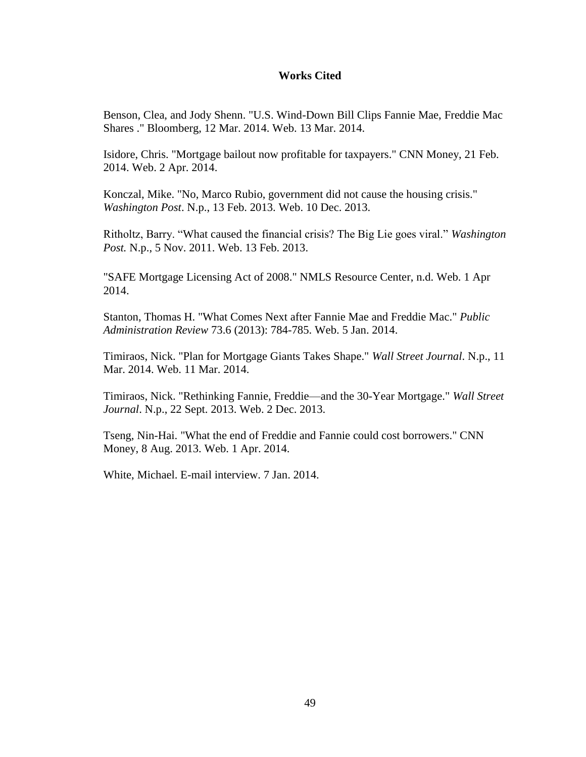## **Works Cited**

Benson, Clea, and Jody Shenn. "U.S. Wind-Down Bill Clips Fannie Mae, Freddie Mac Shares ." Bloomberg, 12 Mar. 2014. Web. 13 Mar. 2014.

Isidore, Chris. "Mortgage bailout now profitable for taxpayers." CNN Money, 21 Feb. 2014. Web. 2 Apr. 2014.

Konczal, Mike. "No, Marco Rubio, government did not cause the housing crisis." *Washington Post*. N.p., 13 Feb. 2013. Web. 10 Dec. 2013.

Ritholtz, Barry. "What caused the financial crisis? The Big Lie goes viral." *Washington Post.* N.p., 5 Nov. 2011. Web. 13 Feb. 2013.

"SAFE Mortgage Licensing Act of 2008." NMLS Resource Center, n.d. Web. 1 Apr 2014.

Stanton, Thomas H. "What Comes Next after Fannie Mae and Freddie Mac." *Public Administration Review* 73.6 (2013): 784-785. Web. 5 Jan. 2014.

Timiraos, Nick. "Plan for Mortgage Giants Takes Shape." *Wall Street Journal*. N.p., 11 Mar. 2014. Web. 11 Mar. 2014.

Timiraos, Nick. "Rethinking Fannie, Freddie—and the 30-Year Mortgage." *Wall Street Journal*. N.p., 22 Sept. 2013. Web. 2 Dec. 2013.

Tseng, Nin-Hai. "What the end of Freddie and Fannie could cost borrowers." CNN Money, 8 Aug. 2013. Web. 1 Apr. 2014.

<span id="page-55-0"></span>White, Michael. E-mail interview. 7 Jan. 2014.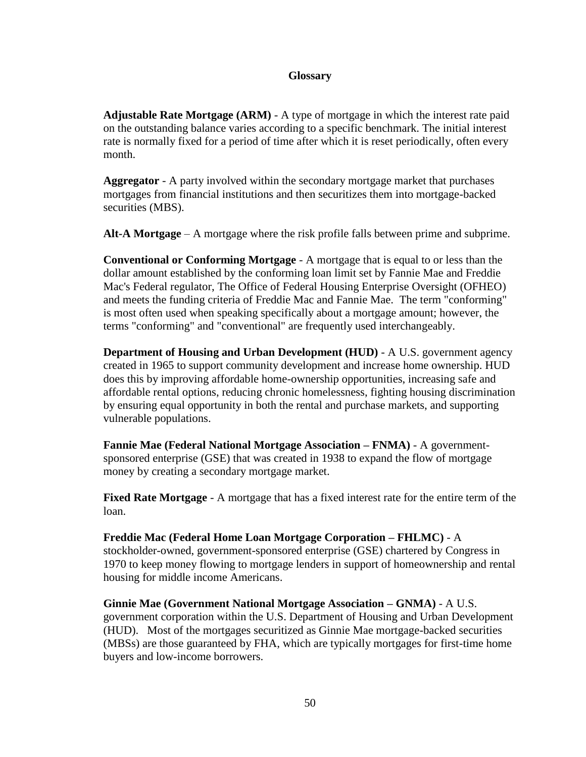## **Glossary**

**Adjustable Rate Mortgage (ARM)** - A type of mortgage in which the interest rate paid on the outstanding balance varies according to a specific benchmark. The initial interest rate is normally fixed for a period of time after which it is reset periodically, often every month.

**Aggregator** - A party involved within the secondary mortgage market that purchases mortgages from financial institutions and then securitizes them into mortgage-backed securities (MBS).

**Alt-A Mortgage** – A mortgage where the risk profile falls between prime and subprime.

**Conventional or Conforming Mortgage** - A mortgage that is equal to or less than the dollar amount established by the conforming loan limit set by Fannie Mae and Freddie Mac's Federal regulator, The Office of Federal Housing Enterprise Oversight (OFHEO) and meets the funding criteria of Freddie Mac and Fannie Mae. The term "conforming" is most often used when speaking specifically about a mortgage amount; however, the terms "conforming" and "conventional" are frequently used interchangeably.

**Department of Housing and Urban Development (HUD)** - A U.S. government agency created in 1965 to support community development and increase home ownership. HUD does this by improving affordable home-ownership opportunities, increasing safe and affordable rental options, reducing chronic homelessness, fighting housing discrimination by ensuring equal opportunity in both the rental and purchase markets, and supporting vulnerable populations.

**Fannie Mae (Federal National Mortgage Association – FNMA)** - A governmentsponsored enterprise (GSE) that was created in 1938 to expand the flow of mortgage money by creating a secondary mortgage market.

**Fixed Rate Mortgage** - A mortgage that has a fixed interest rate for the entire term of the loan.

# **Freddie Mac (Federal Home Loan Mortgage Corporation – FHLMC)** - A stockholder-owned, government-sponsored enterprise (GSE) chartered by Congress in 1970 to keep money flowing to mortgage lenders in support of homeownership and rental housing for middle income Americans.

**Ginnie Mae (Government National Mortgage Association – GNMA)** - A U.S. government corporation within the U.S. Department of Housing and Urban Development (HUD). Most of the mortgages securitized as Ginnie Mae mortgage-backed securities (MBSs) are those guaranteed by FHA, which are typically mortgages for first-time home buyers and low-income borrowers.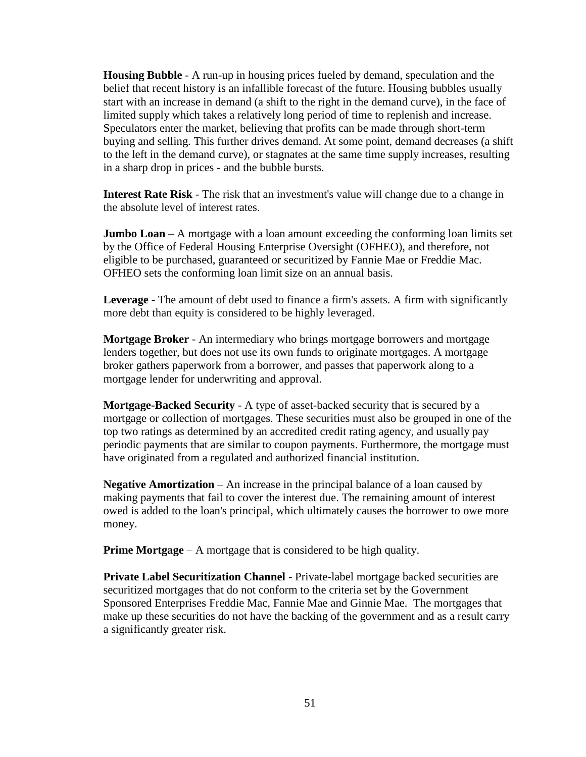**Housing Bubble** - A run-up in housing prices fueled by demand, speculation and the belief that recent history is an infallible forecast of the future. Housing bubbles usually start with an increase in demand (a shift to the right in the demand curve), in the face of limited supply which takes a relatively long period of time to replenish and increase. Speculators enter the market, believing that profits can be made through short-term buying and selling. This further drives demand. At some point, demand decreases (a shift to the left in the demand curve), or stagnates at the same time supply increases, resulting in a sharp drop in prices - and the bubble bursts.

**Interest Rate Risk** - The risk that an investment's value will change due to a change in the absolute level of interest rates.

**Jumbo Loan** – A mortgage with a loan amount exceeding the conforming loan limits set by the Office of Federal Housing Enterprise Oversight (OFHEO), and therefore, not eligible to be purchased, guaranteed or securitized by Fannie Mae or Freddie Mac. OFHEO sets the conforming loan limit size on an annual basis.

**Leverage** - The amount of debt used to finance a firm's assets. A firm with significantly more debt than equity is considered to be highly leveraged.

**Mortgage Broker** - An intermediary who brings mortgage borrowers and mortgage lenders together, but does not use its own funds to originate mortgages. A mortgage broker gathers paperwork from a borrower, and passes that paperwork along to a mortgage lender for underwriting and approval.

**Mortgage-Backed Security** - A type of asset-backed security that is secured by a mortgage or collection of mortgages. These securities must also be grouped in one of the top two ratings as determined by an accredited credit rating agency, and usually pay periodic payments that are similar to coupon payments. Furthermore, the mortgage must have originated from a regulated and authorized financial institution.

**Negative Amortization** – An increase in the principal balance of a loan caused by making payments that fail to cover the interest due. The remaining amount of interest owed is added to the loan's principal, which ultimately causes the borrower to owe more money.

**Prime Mortgage** – A mortgage that is considered to be high quality.

**Private Label Securitization Channel** - Private-label mortgage backed securities are securitized mortgages that do not conform to the criteria set by the Government Sponsored Enterprises Freddie Mac, Fannie Mae and Ginnie Mae. The mortgages that make up these securities do not have the backing of the government and as a result carry a significantly greater risk.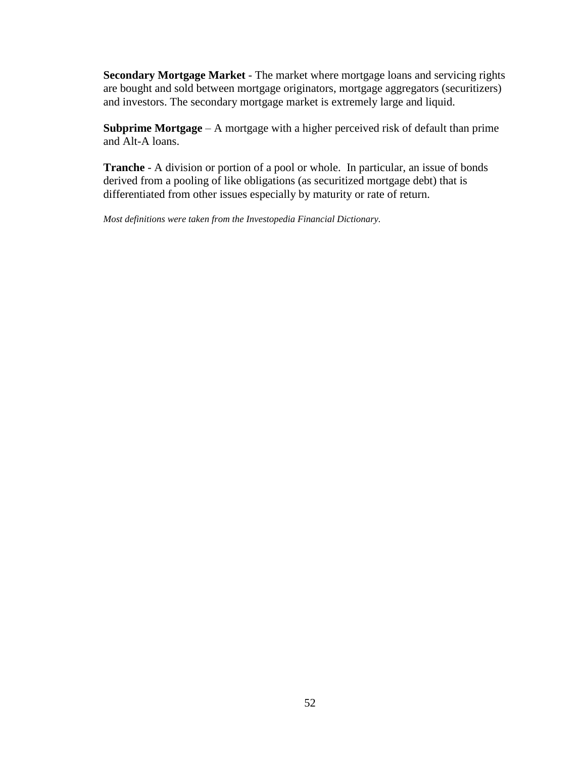**Secondary Mortgage Market** - The market where mortgage loans and servicing rights are bought and sold between mortgage originators, mortgage aggregators (securitizers) and investors. The secondary mortgage market is extremely large and liquid.

**Subprime Mortgage** – A mortgage with a higher perceived risk of default than prime and Alt-A loans.

**Tranche** - A division or portion of a pool or whole. In particular, an issue of bonds derived from a pooling of like obligations (as securitized mortgage debt) that is differentiated from other issues especially by maturity or rate of return.

*Most definitions were taken from the Investopedia Financial Dictionary.*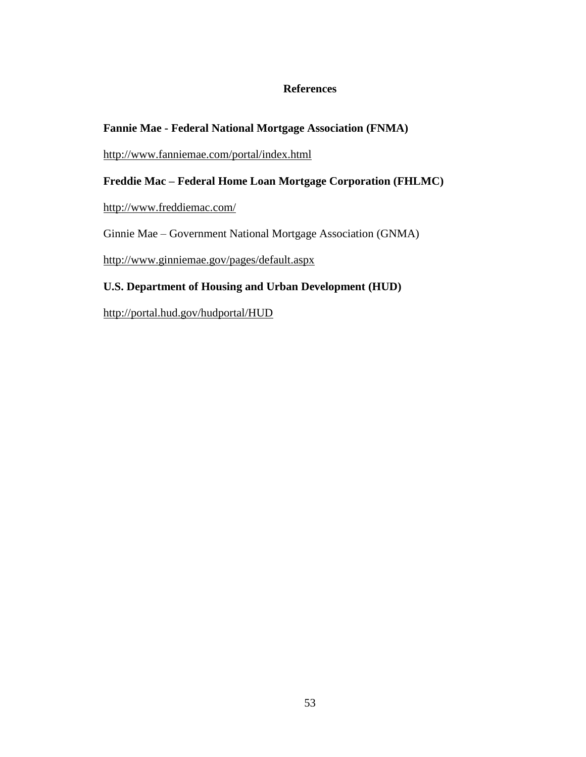## **References**

# <span id="page-59-0"></span>**Fannie Mae - Federal National Mortgage Association (FNMA)**

<http://www.fanniemae.com/portal/index.html>

# **Freddie Mac – Federal Home Loan Mortgage Corporation (FHLMC)**

<http://www.freddiemac.com/>

Ginnie Mae – Government National Mortgage Association (GNMA)

<http://www.ginniemae.gov/pages/default.aspx>

# **U.S. Department of Housing and Urban Development (HUD)**

<http://portal.hud.gov/hudportal/HUD>